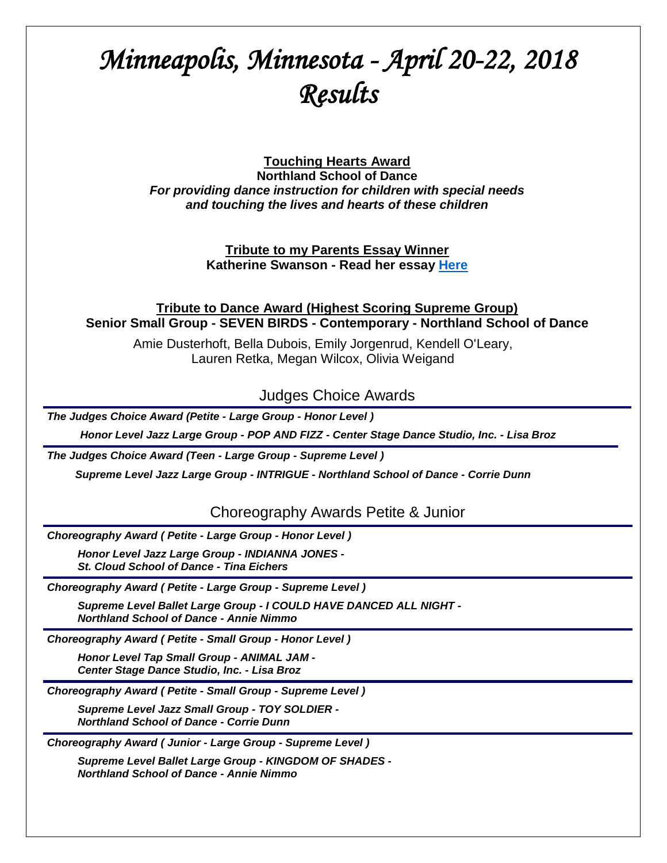# *Minneapolis, Minnesota - April 20-22, 2018 Results*

**Touching Hearts Award**

**Northland School of Dance** *For providing dance instruction for children with special needs and touching the lives and hearts of these children*

> **Tribute to my Parents Essay Winner Katherine Swanson - Read her essay [Here](http://tributetodance.com/wp-content/uploads/2018/04/essaymin2.pdf)**

**Tribute to Dance Award (Highest Scoring Supreme Group) Senior Small Group - SEVEN BIRDS - Contemporary - Northland School of Dance**

Amie Dusterhoft, Bella Dubois, Emily Jorgenrud, Kendell O'Leary, Lauren Retka, Megan Wilcox, Olivia Weigand

Judges Choice Awards

*The Judges Choice Award (Petite - Large Group - Honor Level )*

 *Honor Level Jazz Large Group - POP AND FIZZ - Center Stage Dance Studio, Inc. - Lisa Broz*

*The Judges Choice Award (Teen - Large Group - Supreme Level )*

*Supreme Level Jazz Large Group - INTRIGUE - Northland School of Dance - Corrie Dunn*

Choreography Awards Petite & Junior

*Choreography Award ( Petite - Large Group - Honor Level )*

*Honor Level Jazz Large Group - INDIANNA JONES - St. Cloud School of Dance - Tina Eichers*

*Choreography Award ( Petite - Large Group - Supreme Level )*

*Supreme Level Ballet Large Group - I COULD HAVE DANCED ALL NIGHT - Northland School of Dance - Annie Nimmo*

*Choreography Award ( Petite - Small Group - Honor Level )*

*Honor Level Tap Small Group - ANIMAL JAM - Center Stage Dance Studio, Inc. - Lisa Broz*

*Choreography Award ( Petite - Small Group - Supreme Level )*

*Supreme Level Jazz Small Group - TOY SOLDIER - Northland School of Dance - Corrie Dunn*

*Choreography Award ( Junior - Large Group - Supreme Level )*

*Supreme Level Ballet Large Group - KINGDOM OF SHADES - Northland School of Dance - Annie Nimmo*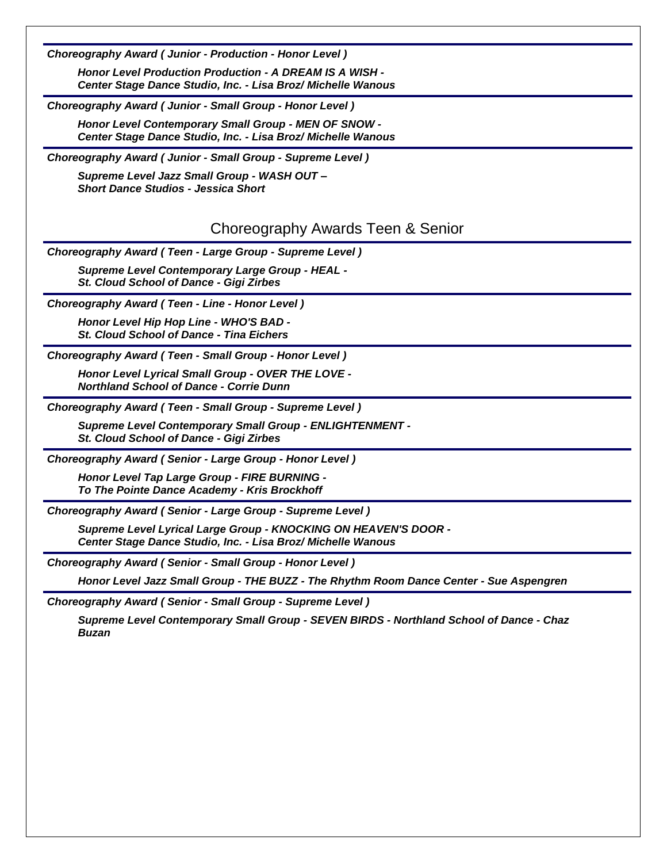*Choreography Award ( Junior - Production - Honor Level )*

*Honor Level Production Production - A DREAM IS A WISH - Center Stage Dance Studio, Inc. - Lisa Broz/ Michelle Wanous*

*Choreography Award ( Junior - Small Group - Honor Level )*

*Honor Level Contemporary Small Group - MEN OF SNOW - Center Stage Dance Studio, Inc. - Lisa Broz/ Michelle Wanous*

*Choreography Award ( Junior - Small Group - Supreme Level )*

*Supreme Level Jazz Small Group - WASH OUT – Short Dance Studios - Jessica Short*

# Choreography Awards Teen & Senior

*Choreography Award ( Teen - Large Group - Supreme Level )*

*Supreme Level Contemporary Large Group - HEAL - St. Cloud School of Dance - Gigi Zirbes*

*Choreography Award ( Teen - Line - Honor Level )*

*Honor Level Hip Hop Line - WHO'S BAD - St. Cloud School of Dance - Tina Eichers*

*Choreography Award ( Teen - Small Group - Honor Level )*

*Honor Level Lyrical Small Group - OVER THE LOVE - Northland School of Dance - Corrie Dunn*

*Choreography Award ( Teen - Small Group - Supreme Level )*

*Supreme Level Contemporary Small Group - ENLIGHTENMENT -*

*St. Cloud School of Dance - Gigi Zirbes*

*Choreography Award ( Senior - Large Group - Honor Level )*

*Honor Level Tap Large Group - FIRE BURNING - To The Pointe Dance Academy - Kris Brockhoff*

*Choreography Award ( Senior - Large Group - Supreme Level )*

*Supreme Level Lyrical Large Group - KNOCKING ON HEAVEN'S DOOR - Center Stage Dance Studio, Inc. - Lisa Broz/ Michelle Wanous*

*Choreography Award ( Senior - Small Group - Honor Level )*

*Honor Level Jazz Small Group - THE BUZZ - The Rhythm Room Dance Center - Sue Aspengren*

*Choreography Award ( Senior - Small Group - Supreme Level )*

*Supreme Level Contemporary Small Group - SEVEN BIRDS - Northland School of Dance - Chaz Buzan*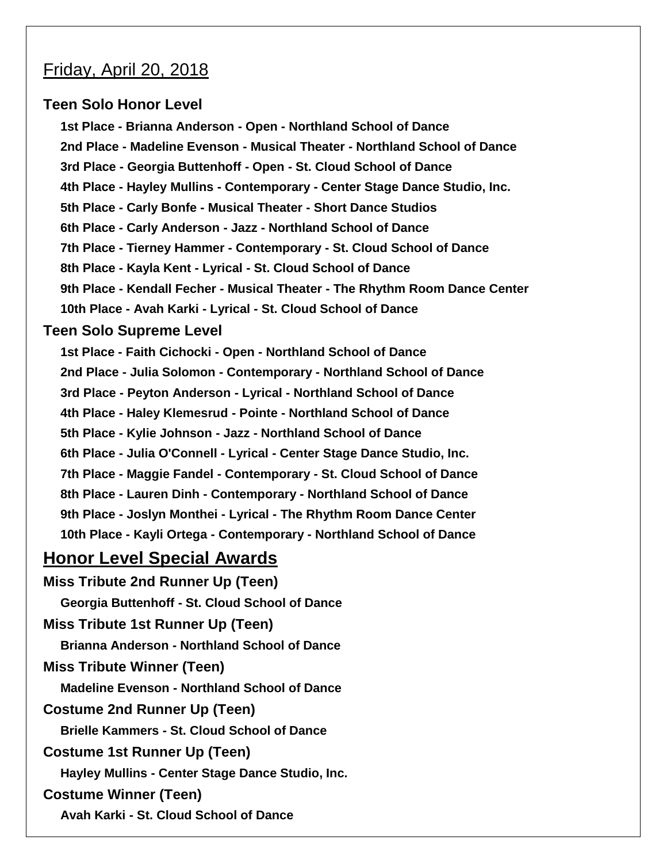# Friday, April 20, 2018

# **Teen Solo Honor Level**

**1st Place - Brianna Anderson - Open - Northland School of Dance 2nd Place - Madeline Evenson - Musical Theater - Northland School of Dance 3rd Place - Georgia Buttenhoff - Open - St. Cloud School of Dance 4th Place - Hayley Mullins - Contemporary - Center Stage Dance Studio, Inc. 5th Place - Carly Bonfe - Musical Theater - Short Dance Studios 6th Place - Carly Anderson - Jazz - Northland School of Dance 7th Place - Tierney Hammer - Contemporary - St. Cloud School of Dance 8th Place - Kayla Kent - Lyrical - St. Cloud School of Dance 9th Place - Kendall Fecher - Musical Theater - The Rhythm Room Dance Center 10th Place - Avah Karki - Lyrical - St. Cloud School of Dance** 

# **Teen Solo Supreme Level**

**1st Place - Faith Cichocki - Open - Northland School of Dance 2nd Place - Julia Solomon - Contemporary - Northland School of Dance 3rd Place - Peyton Anderson - Lyrical - Northland School of Dance 4th Place - Haley Klemesrud - Pointe - Northland School of Dance 5th Place - Kylie Johnson - Jazz - Northland School of Dance 6th Place - Julia O'Connell - Lyrical - Center Stage Dance Studio, Inc. 7th Place - Maggie Fandel - Contemporary - St. Cloud School of Dance 8th Place - Lauren Dinh - Contemporary - Northland School of Dance 9th Place - Joslyn Monthei - Lyrical - The Rhythm Room Dance Center 10th Place - Kayli Ortega - Contemporary - Northland School of Dance**

# **Honor Level Special Awards**

**Miss Tribute 2nd Runner Up (Teen) Georgia Buttenhoff - St. Cloud School of Dance** 

**Miss Tribute 1st Runner Up (Teen)**

**Brianna Anderson - Northland School of Dance**

**Miss Tribute Winner (Teen)**

**Madeline Evenson - Northland School of Dance**

**Costume 2nd Runner Up (Teen)**

**Brielle Kammers - St. Cloud School of Dance** 

**Costume 1st Runner Up (Teen)**

**Hayley Mullins - Center Stage Dance Studio, Inc.**

# **Costume Winner (Teen)**

**Avah Karki - St. Cloud School of Dance**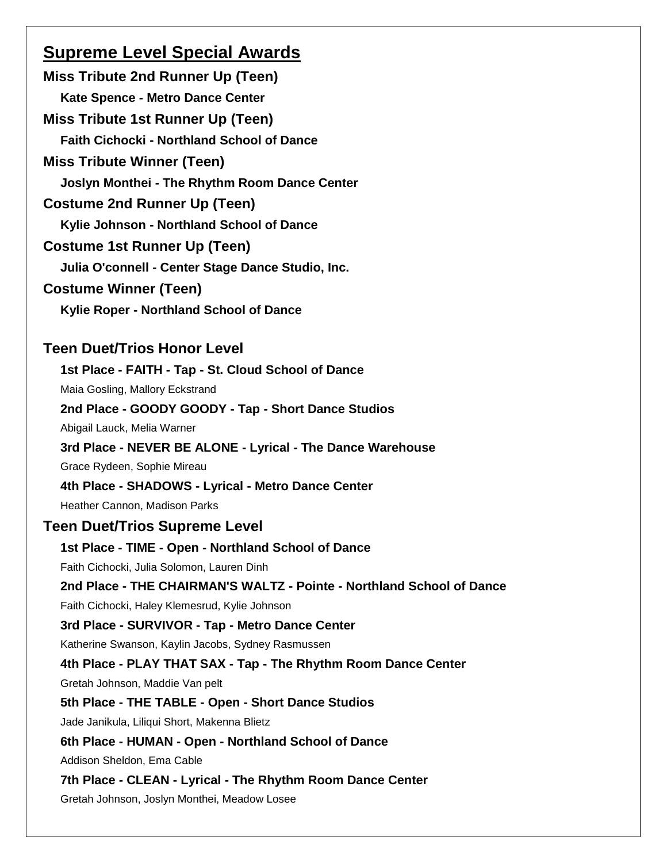# **Supreme Level Special Awards**

**Miss Tribute 2nd Runner Up (Teen) Kate Spence - Metro Dance Center Miss Tribute 1st Runner Up (Teen) Faith Cichocki - Northland School of Dance Miss Tribute Winner (Teen) Joslyn Monthei - The Rhythm Room Dance Center Costume 2nd Runner Up (Teen) Kylie Johnson - Northland School of Dance Costume 1st Runner Up (Teen) Julia O'connell - Center Stage Dance Studio, Inc. Costume Winner (Teen) Kylie Roper - Northland School of Dance Teen Duet/Trios Honor Level 1st Place - FAITH - Tap - St. Cloud School of Dance**  Maia Gosling, Mallory Eckstrand **2nd Place - GOODY GOODY - Tap - Short Dance Studios** Abigail Lauck, Melia Warner **3rd Place - NEVER BE ALONE - Lyrical - The Dance Warehouse** Grace Rydeen, Sophie Mireau **4th Place - SHADOWS - Lyrical - Metro Dance Center** Heather Cannon, Madison Parks **Teen Duet/Trios Supreme Level**

# **1st Place - TIME - Open - Northland School of Dance** Faith Cichocki, Julia Solomon, Lauren Dinh **2nd Place - THE CHAIRMAN'S WALTZ - Pointe - Northland School of Dance** Faith Cichocki, Haley Klemesrud, Kylie Johnson **3rd Place - SURVIVOR - Tap - Metro Dance Center** Katherine Swanson, Kaylin Jacobs, Sydney Rasmussen **4th Place - PLAY THAT SAX - Tap - The Rhythm Room Dance Center** Gretah Johnson, Maddie Van pelt **5th Place - THE TABLE - Open - Short Dance Studios** Jade Janikula, Liliqui Short, Makenna Blietz **6th Place - HUMAN - Open - Northland School of Dance** Addison Sheldon, Ema Cable **7th Place - CLEAN - Lyrical - The Rhythm Room Dance Center**

Gretah Johnson, Joslyn Monthei, Meadow Losee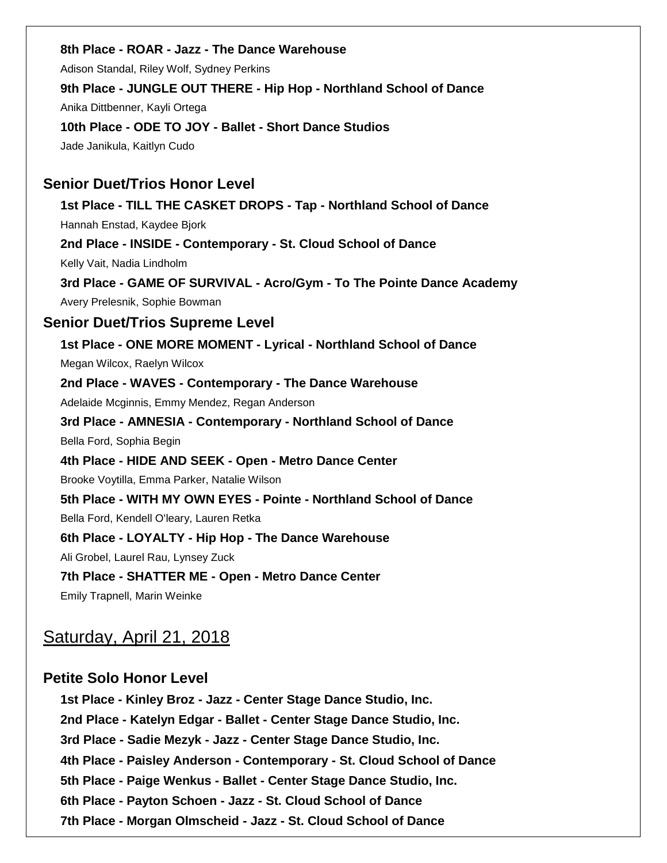#### **8th Place - ROAR - Jazz - The Dance Warehouse**

Adison Standal, Riley Wolf, Sydney Perkins

#### **9th Place - JUNGLE OUT THERE - Hip Hop - Northland School of Dance**

Anika Dittbenner, Kayli Ortega

**10th Place - ODE TO JOY - Ballet - Short Dance Studios** Jade Janikula, Kaitlyn Cudo

### **Senior Duet/Trios Honor Level**

**1st Place - TILL THE CASKET DROPS - Tap - Northland School of Dance** Hannah Enstad, Kaydee Bjork **2nd Place - INSIDE - Contemporary - St. Cloud School of Dance**  Kelly Vait, Nadia Lindholm **3rd Place - GAME OF SURVIVAL - Acro/Gym - To The Pointe Dance Academy**

Avery Prelesnik, Sophie Bowman

# **Senior Duet/Trios Supreme Level**

**1st Place - ONE MORE MOMENT - Lyrical - Northland School of Dance** Megan Wilcox, Raelyn Wilcox **2nd Place - WAVES - Contemporary - The Dance Warehouse** Adelaide Mcginnis, Emmy Mendez, Regan Anderson **3rd Place - AMNESIA - Contemporary - Northland School of Dance** Bella Ford, Sophia Begin **4th Place - HIDE AND SEEK - Open - Metro Dance Center** Brooke Voytilla, Emma Parker, Natalie Wilson **5th Place - WITH MY OWN EYES - Pointe - Northland School of Dance** Bella Ford, Kendell O'leary, Lauren Retka **6th Place - LOYALTY - Hip Hop - The Dance Warehouse** Ali Grobel, Laurel Rau, Lynsey Zuck **7th Place - SHATTER ME - Open - Metro Dance Center**

Emily Trapnell, Marin Weinke

# Saturday, April 21, 2018

# **Petite Solo Honor Level**

**1st Place - Kinley Broz - Jazz - Center Stage Dance Studio, Inc. 2nd Place - Katelyn Edgar - Ballet - Center Stage Dance Studio, Inc. 3rd Place - Sadie Mezyk - Jazz - Center Stage Dance Studio, Inc. 4th Place - Paisley Anderson - Contemporary - St. Cloud School of Dance 5th Place - Paige Wenkus - Ballet - Center Stage Dance Studio, Inc. 6th Place - Payton Schoen - Jazz - St. Cloud School of Dance 7th Place - Morgan Olmscheid - Jazz - St. Cloud School of Dance**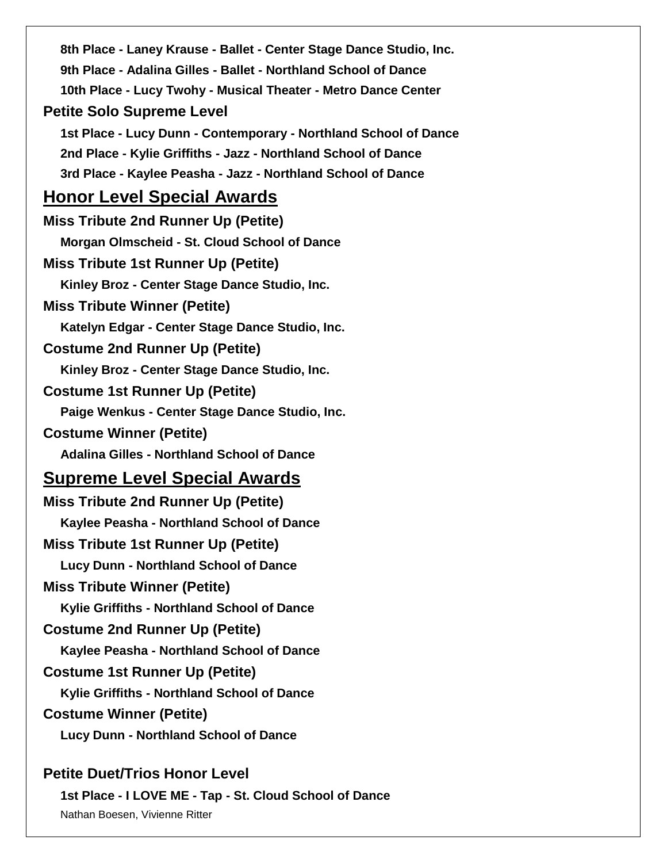**8th Place - Laney Krause - Ballet - Center Stage Dance Studio, Inc. 9th Place - Adalina Gilles - Ballet - Northland School of Dance 10th Place - Lucy Twohy - Musical Theater - Metro Dance Center Petite Solo Supreme Level 1st Place - Lucy Dunn - Contemporary - Northland School of Dance 2nd Place - Kylie Griffiths - Jazz - Northland School of Dance 3rd Place - Kaylee Peasha - Jazz - Northland School of Dance Honor Level Special Awards Miss Tribute 2nd Runner Up (Petite) Morgan Olmscheid - St. Cloud School of Dance Miss Tribute 1st Runner Up (Petite) Kinley Broz - Center Stage Dance Studio, Inc. Miss Tribute Winner (Petite) Katelyn Edgar - Center Stage Dance Studio, Inc. Costume 2nd Runner Up (Petite) Kinley Broz - Center Stage Dance Studio, Inc. Costume 1st Runner Up (Petite) Paige Wenkus - Center Stage Dance Studio, Inc. Costume Winner (Petite) Adalina Gilles - Northland School of Dance Supreme Level Special Awards Miss Tribute 2nd Runner Up (Petite) Kaylee Peasha - Northland School of Dance Miss Tribute 1st Runner Up (Petite) Lucy Dunn - Northland School of Dance Miss Tribute Winner (Petite) Kylie Griffiths - Northland School of Dance Costume 2nd Runner Up (Petite) Kaylee Peasha - Northland School of Dance Costume 1st Runner Up (Petite) Kylie Griffiths - Northland School of Dance Costume Winner (Petite) Lucy Dunn - Northland School of Dance Petite Duet/Trios Honor Level**

**1st Place - I LOVE ME - Tap - St. Cloud School of Dance**  Nathan Boesen, Vivienne Ritter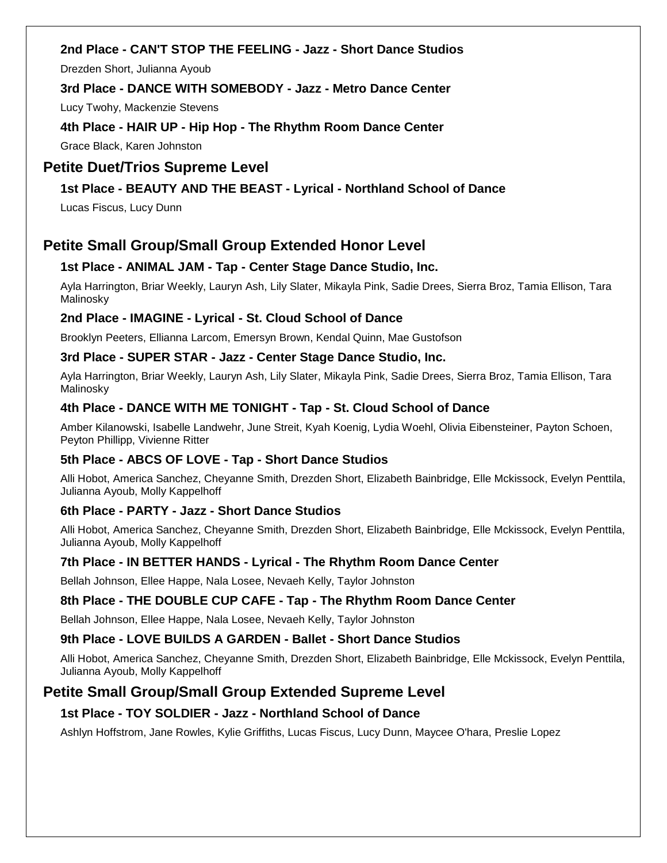# **2nd Place - CAN'T STOP THE FEELING - Jazz - Short Dance Studios**

Drezden Short, Julianna Ayoub

#### **3rd Place - DANCE WITH SOMEBODY - Jazz - Metro Dance Center**

Lucy Twohy, Mackenzie Stevens

#### **4th Place - HAIR UP - Hip Hop - The Rhythm Room Dance Center**

Grace Black, Karen Johnston

# **Petite Duet/Trios Supreme Level**

# **1st Place - BEAUTY AND THE BEAST - Lyrical - Northland School of Dance**

Lucas Fiscus, Lucy Dunn

# **Petite Small Group/Small Group Extended Honor Level**

#### **1st Place - ANIMAL JAM - Tap - Center Stage Dance Studio, Inc.**

Ayla Harrington, Briar Weekly, Lauryn Ash, Lily Slater, Mikayla Pink, Sadie Drees, Sierra Broz, Tamia Ellison, Tara Malinosky

#### **2nd Place - IMAGINE - Lyrical - St. Cloud School of Dance**

Brooklyn Peeters, Ellianna Larcom, Emersyn Brown, Kendal Quinn, Mae Gustofson

#### **3rd Place - SUPER STAR - Jazz - Center Stage Dance Studio, Inc.**

Ayla Harrington, Briar Weekly, Lauryn Ash, Lily Slater, Mikayla Pink, Sadie Drees, Sierra Broz, Tamia Ellison, Tara Malinosky

#### **4th Place - DANCE WITH ME TONIGHT - Tap - St. Cloud School of Dance**

Amber Kilanowski, Isabelle Landwehr, June Streit, Kyah Koenig, Lydia Woehl, Olivia Eibensteiner, Payton Schoen, Peyton Phillipp, Vivienne Ritter

#### **5th Place - ABCS OF LOVE - Tap - Short Dance Studios**

Alli Hobot, America Sanchez, Cheyanne Smith, Drezden Short, Elizabeth Bainbridge, Elle Mckissock, Evelyn Penttila, Julianna Ayoub, Molly Kappelhoff

#### **6th Place - PARTY - Jazz - Short Dance Studios**

Alli Hobot, America Sanchez, Cheyanne Smith, Drezden Short, Elizabeth Bainbridge, Elle Mckissock, Evelyn Penttila, Julianna Ayoub, Molly Kappelhoff

#### **7th Place - IN BETTER HANDS - Lyrical - The Rhythm Room Dance Center**

Bellah Johnson, Ellee Happe, Nala Losee, Nevaeh Kelly, Taylor Johnston

#### **8th Place - THE DOUBLE CUP CAFE - Tap - The Rhythm Room Dance Center**

Bellah Johnson, Ellee Happe, Nala Losee, Nevaeh Kelly, Taylor Johnston

#### **9th Place - LOVE BUILDS A GARDEN - Ballet - Short Dance Studios**

Alli Hobot, America Sanchez, Cheyanne Smith, Drezden Short, Elizabeth Bainbridge, Elle Mckissock, Evelyn Penttila, Julianna Ayoub, Molly Kappelhoff

# **Petite Small Group/Small Group Extended Supreme Level**

#### **1st Place - TOY SOLDIER - Jazz - Northland School of Dance**

Ashlyn Hoffstrom, Jane Rowles, Kylie Griffiths, Lucas Fiscus, Lucy Dunn, Maycee O'hara, Preslie Lopez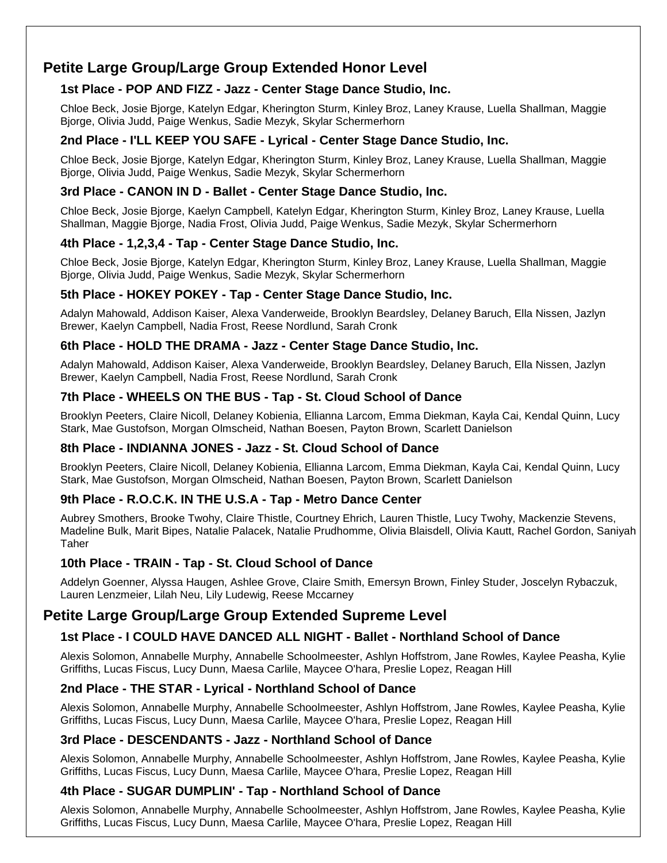# **Petite Large Group/Large Group Extended Honor Level**

# **1st Place - POP AND FIZZ - Jazz - Center Stage Dance Studio, Inc.**

Chloe Beck, Josie Bjorge, Katelyn Edgar, Kherington Sturm, Kinley Broz, Laney Krause, Luella Shallman, Maggie Bjorge, Olivia Judd, Paige Wenkus, Sadie Mezyk, Skylar Schermerhorn

# **2nd Place - I'LL KEEP YOU SAFE - Lyrical - Center Stage Dance Studio, Inc.**

Chloe Beck, Josie Bjorge, Katelyn Edgar, Kherington Sturm, Kinley Broz, Laney Krause, Luella Shallman, Maggie Bjorge, Olivia Judd, Paige Wenkus, Sadie Mezyk, Skylar Schermerhorn

### **3rd Place - CANON IN D - Ballet - Center Stage Dance Studio, Inc.**

Chloe Beck, Josie Bjorge, Kaelyn Campbell, Katelyn Edgar, Kherington Sturm, Kinley Broz, Laney Krause, Luella Shallman, Maggie Bjorge, Nadia Frost, Olivia Judd, Paige Wenkus, Sadie Mezyk, Skylar Schermerhorn

# **4th Place - 1,2,3,4 - Tap - Center Stage Dance Studio, Inc.**

Chloe Beck, Josie Bjorge, Katelyn Edgar, Kherington Sturm, Kinley Broz, Laney Krause, Luella Shallman, Maggie Bjorge, Olivia Judd, Paige Wenkus, Sadie Mezyk, Skylar Schermerhorn

#### **5th Place - HOKEY POKEY - Tap - Center Stage Dance Studio, Inc.**

Adalyn Mahowald, Addison Kaiser, Alexa Vanderweide, Brooklyn Beardsley, Delaney Baruch, Ella Nissen, Jazlyn Brewer, Kaelyn Campbell, Nadia Frost, Reese Nordlund, Sarah Cronk

#### **6th Place - HOLD THE DRAMA - Jazz - Center Stage Dance Studio, Inc.**

Adalyn Mahowald, Addison Kaiser, Alexa Vanderweide, Brooklyn Beardsley, Delaney Baruch, Ella Nissen, Jazlyn Brewer, Kaelyn Campbell, Nadia Frost, Reese Nordlund, Sarah Cronk

# **7th Place - WHEELS ON THE BUS - Tap - St. Cloud School of Dance**

Brooklyn Peeters, Claire Nicoll, Delaney Kobienia, Ellianna Larcom, Emma Diekman, Kayla Cai, Kendal Quinn, Lucy Stark, Mae Gustofson, Morgan Olmscheid, Nathan Boesen, Payton Brown, Scarlett Danielson

#### **8th Place - INDIANNA JONES - Jazz - St. Cloud School of Dance**

Brooklyn Peeters, Claire Nicoll, Delaney Kobienia, Ellianna Larcom, Emma Diekman, Kayla Cai, Kendal Quinn, Lucy Stark, Mae Gustofson, Morgan Olmscheid, Nathan Boesen, Payton Brown, Scarlett Danielson

#### **9th Place - R.O.C.K. IN THE U.S.A - Tap - Metro Dance Center**

Aubrey Smothers, Brooke Twohy, Claire Thistle, Courtney Ehrich, Lauren Thistle, Lucy Twohy, Mackenzie Stevens, Madeline Bulk, Marit Bipes, Natalie Palacek, Natalie Prudhomme, Olivia Blaisdell, Olivia Kautt, Rachel Gordon, Saniyah Taher

#### **10th Place - TRAIN - Tap - St. Cloud School of Dance**

Addelyn Goenner, Alyssa Haugen, Ashlee Grove, Claire Smith, Emersyn Brown, Finley Studer, Joscelyn Rybaczuk, Lauren Lenzmeier, Lilah Neu, Lily Ludewig, Reese Mccarney

# **Petite Large Group/Large Group Extended Supreme Level**

#### **1st Place - I COULD HAVE DANCED ALL NIGHT - Ballet - Northland School of Dance**

Alexis Solomon, Annabelle Murphy, Annabelle Schoolmeester, Ashlyn Hoffstrom, Jane Rowles, Kaylee Peasha, Kylie Griffiths, Lucas Fiscus, Lucy Dunn, Maesa Carlile, Maycee O'hara, Preslie Lopez, Reagan Hill

# **2nd Place - THE STAR - Lyrical - Northland School of Dance**

Alexis Solomon, Annabelle Murphy, Annabelle Schoolmeester, Ashlyn Hoffstrom, Jane Rowles, Kaylee Peasha, Kylie Griffiths, Lucas Fiscus, Lucy Dunn, Maesa Carlile, Maycee O'hara, Preslie Lopez, Reagan Hill

#### **3rd Place - DESCENDANTS - Jazz - Northland School of Dance**

Alexis Solomon, Annabelle Murphy, Annabelle Schoolmeester, Ashlyn Hoffstrom, Jane Rowles, Kaylee Peasha, Kylie Griffiths, Lucas Fiscus, Lucy Dunn, Maesa Carlile, Maycee O'hara, Preslie Lopez, Reagan Hill

#### **4th Place - SUGAR DUMPLIN' - Tap - Northland School of Dance**

Alexis Solomon, Annabelle Murphy, Annabelle Schoolmeester, Ashlyn Hoffstrom, Jane Rowles, Kaylee Peasha, Kylie Griffiths, Lucas Fiscus, Lucy Dunn, Maesa Carlile, Maycee O'hara, Preslie Lopez, Reagan Hill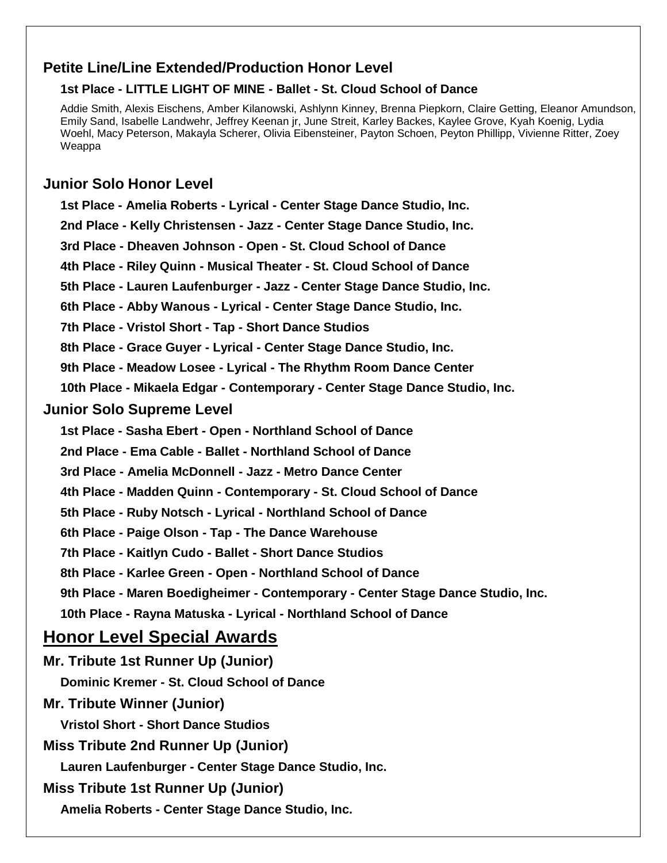# **Petite Line/Line Extended/Production Honor Level**

# **1st Place - LITTLE LIGHT OF MINE - Ballet - St. Cloud School of Dance**

Addie Smith, Alexis Eischens, Amber Kilanowski, Ashlynn Kinney, Brenna Piepkorn, Claire Getting, Eleanor Amundson, Emily Sand, Isabelle Landwehr, Jeffrey Keenan jr, June Streit, Karley Backes, Kaylee Grove, Kyah Koenig, Lydia Woehl, Macy Peterson, Makayla Scherer, Olivia Eibensteiner, Payton Schoen, Peyton Phillipp, Vivienne Ritter, Zoey Weappa

# **Junior Solo Honor Level**

**1st Place - Amelia Roberts - Lyrical - Center Stage Dance Studio, Inc. 2nd Place - Kelly Christensen - Jazz - Center Stage Dance Studio, Inc. 3rd Place - Dheaven Johnson - Open - St. Cloud School of Dance 4th Place - Riley Quinn - Musical Theater - St. Cloud School of Dance 5th Place - Lauren Laufenburger - Jazz - Center Stage Dance Studio, Inc. 6th Place - Abby Wanous - Lyrical - Center Stage Dance Studio, Inc. 7th Place - Vristol Short - Tap - Short Dance Studios 8th Place - Grace Guyer - Lyrical - Center Stage Dance Studio, Inc. 9th Place - Meadow Losee - Lyrical - The Rhythm Room Dance Center 10th Place - Mikaela Edgar - Contemporary - Center Stage Dance Studio, Inc. Junior Solo Supreme Level 1st Place - Sasha Ebert - Open - Northland School of Dance 2nd Place - Ema Cable - Ballet - Northland School of Dance 3rd Place - Amelia McDonnell - Jazz - Metro Dance Center 4th Place - Madden Quinn - Contemporary - St. Cloud School of Dance 5th Place - Ruby Notsch - Lyrical - Northland School of Dance 6th Place - Paige Olson - Tap - The Dance Warehouse 7th Place - Kaitlyn Cudo - Ballet - Short Dance Studios 8th Place - Karlee Green - Open - Northland School of Dance 9th Place - Maren Boedigheimer - Contemporary - Center Stage Dance Studio, Inc. 10th Place - Rayna Matuska - Lyrical - Northland School of Dance Honor Level Special Awards Mr. Tribute 1st Runner Up (Junior) Dominic Kremer - St. Cloud School of Dance Mr. Tribute Winner (Junior) Vristol Short - Short Dance Studios Miss Tribute 2nd Runner Up (Junior) Lauren Laufenburger - Center Stage Dance Studio, Inc. Miss Tribute 1st Runner Up (Junior) Amelia Roberts - Center Stage Dance Studio, Inc.**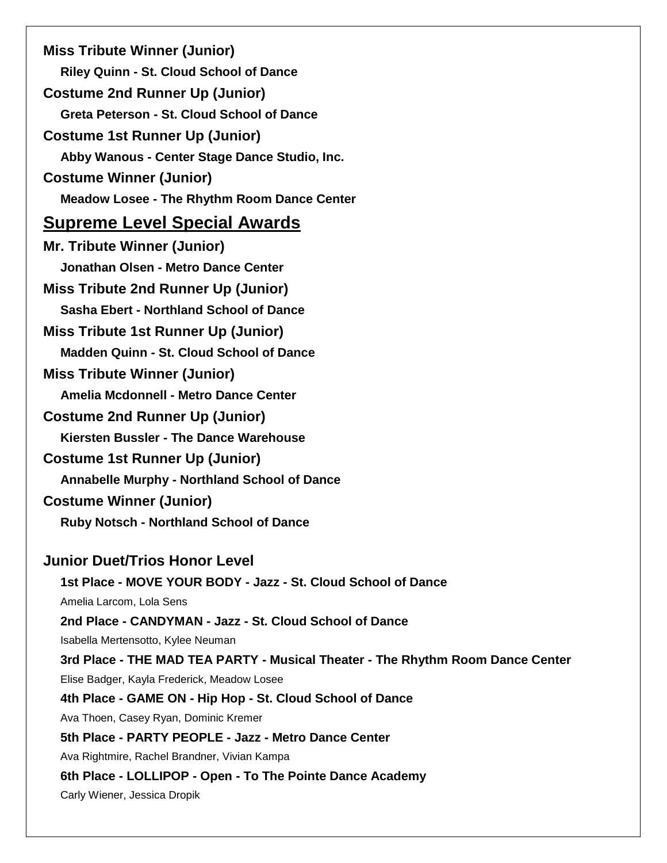**Miss Tribute Winner (Junior) Riley Quinn - St. Cloud School of Dance Costume 2nd Runner Up (Junior) Greta Peterson - St. Cloud School of Dance Costume 1st Runner Up (Junior) Abby Wanous - Center Stage Dance Studio, Inc. Costume Winner (Junior) Meadow Losee - The Rhythm Room Dance Center Supreme Level Special Awards Mr. Tribute Winner (Junior) Jonathan Olsen - Metro Dance Center Miss Tribute 2nd Runner Up (Junior) Sasha Ebert - Northland School of Dance Miss Tribute 1st Runner Up (Junior) Madden Quinn - St. Cloud School of Dance Miss Tribute Winner (Junior) Amelia Mcdonnell - Metro Dance Center Costume 2nd Runner Up (Junior) Kiersten Bussler - The Dance Warehouse Costume 1st Runner Up (Junior) Annabelle Murphy - Northland School of Dance Costume Winner (Junior) Ruby Notsch - Northland School of Dance Junior Duet/Trios Honor Level 1st Place - MOVE YOUR BODY - Jazz - St. Cloud School of Dance**  Amelia Larcom, Lola Sens **2nd Place - CANDYMAN - Jazz - St. Cloud School of Dance**  Isabella Mertensotto, Kylee Neuman **3rd Place - THE MAD TEA PARTY - Musical Theater - The Rhythm Room Dance Center** Elise Badger, Kayla Frederick, Meadow Losee **4th Place - GAME ON - Hip Hop - St. Cloud School of Dance**  Ava Thoen, Casey Ryan, Dominic Kremer **5th Place - PARTY PEOPLE - Jazz - Metro Dance Center** Ava Rightmire, Rachel Brandner, Vivian Kampa **6th Place - LOLLIPOP - Open - To The Pointe Dance Academy** Carly Wiener, Jessica Dropik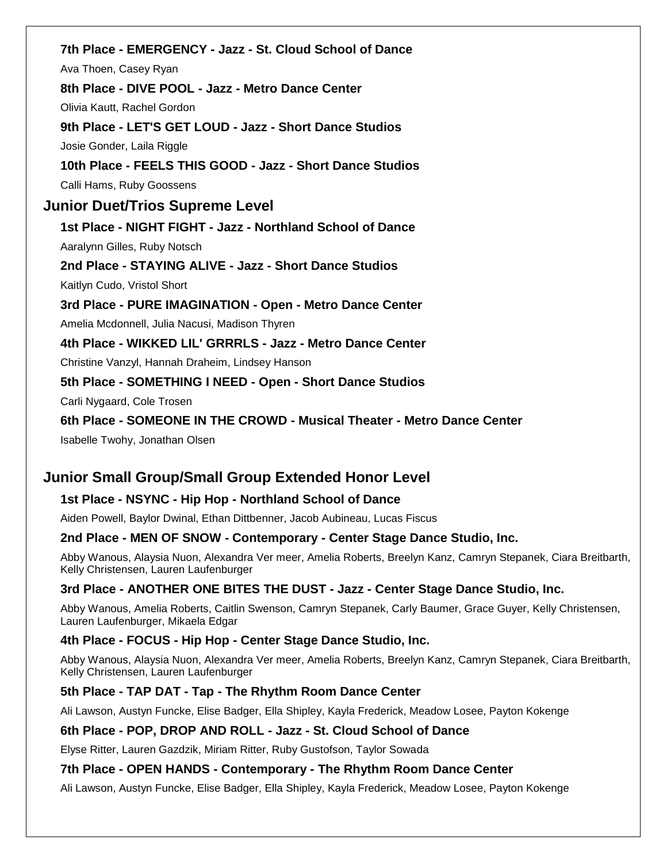# **7th Place - EMERGENCY - Jazz - St. Cloud School of Dance**

Ava Thoen, Casey Ryan

**8th Place - DIVE POOL - Jazz - Metro Dance Center**

Olivia Kautt, Rachel Gordon

#### **9th Place - LET'S GET LOUD - Jazz - Short Dance Studios**

Josie Gonder, Laila Riggle

# **10th Place - FEELS THIS GOOD - Jazz - Short Dance Studios**

Calli Hams, Ruby Goossens

# **Junior Duet/Trios Supreme Level**

# **1st Place - NIGHT FIGHT - Jazz - Northland School of Dance**

Aaralynn Gilles, Ruby Notsch

#### **2nd Place - STAYING ALIVE - Jazz - Short Dance Studios**

Kaitlyn Cudo, Vristol Short

# **3rd Place - PURE IMAGINATION - Open - Metro Dance Center**

Amelia Mcdonnell, Julia Nacusi, Madison Thyren

# **4th Place - WIKKED LIL' GRRRLS - Jazz - Metro Dance Center**

Christine Vanzyl, Hannah Draheim, Lindsey Hanson

# **5th Place - SOMETHING I NEED - Open - Short Dance Studios**

Carli Nygaard, Cole Trosen

# **6th Place - SOMEONE IN THE CROWD - Musical Theater - Metro Dance Center**

Isabelle Twohy, Jonathan Olsen

# **Junior Small Group/Small Group Extended Honor Level**

# **1st Place - NSYNC - Hip Hop - Northland School of Dance**

Aiden Powell, Baylor Dwinal, Ethan Dittbenner, Jacob Aubineau, Lucas Fiscus

#### **2nd Place - MEN OF SNOW - Contemporary - Center Stage Dance Studio, Inc.**

Abby Wanous, Alaysia Nuon, Alexandra Ver meer, Amelia Roberts, Breelyn Kanz, Camryn Stepanek, Ciara Breitbarth, Kelly Christensen, Lauren Laufenburger

# **3rd Place - ANOTHER ONE BITES THE DUST - Jazz - Center Stage Dance Studio, Inc.**

Abby Wanous, Amelia Roberts, Caitlin Swenson, Camryn Stepanek, Carly Baumer, Grace Guyer, Kelly Christensen, Lauren Laufenburger, Mikaela Edgar

# **4th Place - FOCUS - Hip Hop - Center Stage Dance Studio, Inc.**

Abby Wanous, Alaysia Nuon, Alexandra Ver meer, Amelia Roberts, Breelyn Kanz, Camryn Stepanek, Ciara Breitbarth, Kelly Christensen, Lauren Laufenburger

# **5th Place - TAP DAT - Tap - The Rhythm Room Dance Center**

Ali Lawson, Austyn Funcke, Elise Badger, Ella Shipley, Kayla Frederick, Meadow Losee, Payton Kokenge

#### **6th Place - POP, DROP AND ROLL - Jazz - St. Cloud School of Dance**

Elyse Ritter, Lauren Gazdzik, Miriam Ritter, Ruby Gustofson, Taylor Sowada

#### **7th Place - OPEN HANDS - Contemporary - The Rhythm Room Dance Center**

Ali Lawson, Austyn Funcke, Elise Badger, Ella Shipley, Kayla Frederick, Meadow Losee, Payton Kokenge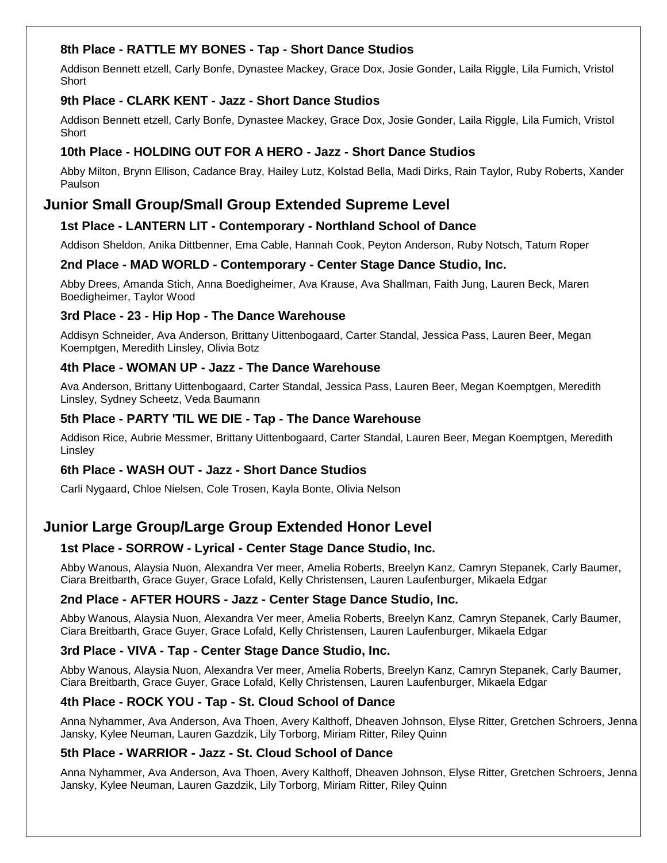# **8th Place - RATTLE MY BONES - Tap - Short Dance Studios**

Addison Bennett etzell, Carly Bonfe, Dynastee Mackey, Grace Dox, Josie Gonder, Laila Riggle, Lila Fumich, Vristol **Short** 

#### **9th Place - CLARK KENT - Jazz - Short Dance Studios**

Addison Bennett etzell, Carly Bonfe, Dynastee Mackey, Grace Dox, Josie Gonder, Laila Riggle, Lila Fumich, Vristol **Short** 

### **10th Place - HOLDING OUT FOR A HERO - Jazz - Short Dance Studios**

Abby Milton, Brynn Ellison, Cadance Bray, Hailey Lutz, Kolstad Bella, Madi Dirks, Rain Taylor, Ruby Roberts, Xander Paulson

# **Junior Small Group/Small Group Extended Supreme Level**

# **1st Place - LANTERN LIT - Contemporary - Northland School of Dance**

Addison Sheldon, Anika Dittbenner, Ema Cable, Hannah Cook, Peyton Anderson, Ruby Notsch, Tatum Roper

# **2nd Place - MAD WORLD - Contemporary - Center Stage Dance Studio, Inc.**

Abby Drees, Amanda Stich, Anna Boedigheimer, Ava Krause, Ava Shallman, Faith Jung, Lauren Beck, Maren Boedigheimer, Taylor Wood

# **3rd Place - 23 - Hip Hop - The Dance Warehouse**

Addisyn Schneider, Ava Anderson, Brittany Uittenbogaard, Carter Standal, Jessica Pass, Lauren Beer, Megan Koemptgen, Meredith Linsley, Olivia Botz

# **4th Place - WOMAN UP - Jazz - The Dance Warehouse**

Ava Anderson, Brittany Uittenbogaard, Carter Standal, Jessica Pass, Lauren Beer, Megan Koemptgen, Meredith Linsley, Sydney Scheetz, Veda Baumann

# **5th Place - PARTY 'TIL WE DIE - Tap - The Dance Warehouse**

Addison Rice, Aubrie Messmer, Brittany Uittenbogaard, Carter Standal, Lauren Beer, Megan Koemptgen, Meredith Linsley

#### **6th Place - WASH OUT - Jazz - Short Dance Studios**

Carli Nygaard, Chloe Nielsen, Cole Trosen, Kayla Bonte, Olivia Nelson

# **Junior Large Group/Large Group Extended Honor Level**

# **1st Place - SORROW - Lyrical - Center Stage Dance Studio, Inc.**

Abby Wanous, Alaysia Nuon, Alexandra Ver meer, Amelia Roberts, Breelyn Kanz, Camryn Stepanek, Carly Baumer, Ciara Breitbarth, Grace Guyer, Grace Lofald, Kelly Christensen, Lauren Laufenburger, Mikaela Edgar

#### **2nd Place - AFTER HOURS - Jazz - Center Stage Dance Studio, Inc.**

Abby Wanous, Alaysia Nuon, Alexandra Ver meer, Amelia Roberts, Breelyn Kanz, Camryn Stepanek, Carly Baumer, Ciara Breitbarth, Grace Guyer, Grace Lofald, Kelly Christensen, Lauren Laufenburger, Mikaela Edgar

# **3rd Place - VIVA - Tap - Center Stage Dance Studio, Inc.**

Abby Wanous, Alaysia Nuon, Alexandra Ver meer, Amelia Roberts, Breelyn Kanz, Camryn Stepanek, Carly Baumer, Ciara Breitbarth, Grace Guyer, Grace Lofald, Kelly Christensen, Lauren Laufenburger, Mikaela Edgar

# **4th Place - ROCK YOU - Tap - St. Cloud School of Dance**

Anna Nyhammer, Ava Anderson, Ava Thoen, Avery Kalthoff, Dheaven Johnson, Elyse Ritter, Gretchen Schroers, Jenna Jansky, Kylee Neuman, Lauren Gazdzik, Lily Torborg, Miriam Ritter, Riley Quinn

#### **5th Place - WARRIOR - Jazz - St. Cloud School of Dance**

Anna Nyhammer, Ava Anderson, Ava Thoen, Avery Kalthoff, Dheaven Johnson, Elyse Ritter, Gretchen Schroers, Jenna Jansky, Kylee Neuman, Lauren Gazdzik, Lily Torborg, Miriam Ritter, Riley Quinn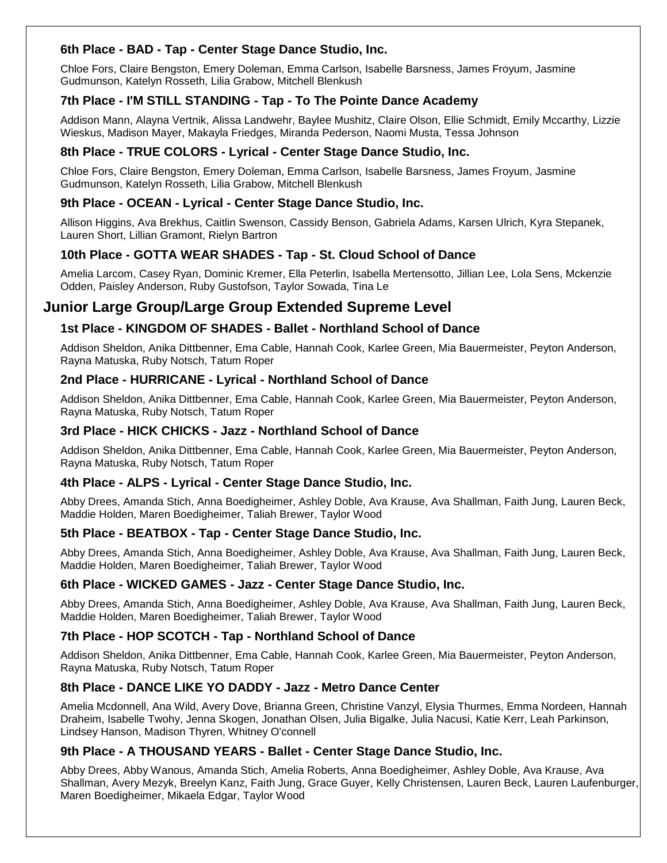# **6th Place - BAD - Tap - Center Stage Dance Studio, Inc.**

Chloe Fors, Claire Bengston, Emery Doleman, Emma Carlson, Isabelle Barsness, James Froyum, Jasmine Gudmunson, Katelyn Rosseth, Lilia Grabow, Mitchell Blenkush

# **7th Place - I'M STILL STANDING - Tap - To The Pointe Dance Academy**

Addison Mann, Alayna Vertnik, Alissa Landwehr, Baylee Mushitz, Claire Olson, Ellie Schmidt, Emily Mccarthy, Lizzie Wieskus, Madison Mayer, Makayla Friedges, Miranda Pederson, Naomi Musta, Tessa Johnson

# **8th Place - TRUE COLORS - Lyrical - Center Stage Dance Studio, Inc.**

Chloe Fors, Claire Bengston, Emery Doleman, Emma Carlson, Isabelle Barsness, James Froyum, Jasmine Gudmunson, Katelyn Rosseth, Lilia Grabow, Mitchell Blenkush

# **9th Place - OCEAN - Lyrical - Center Stage Dance Studio, Inc.**

Allison Higgins, Ava Brekhus, Caitlin Swenson, Cassidy Benson, Gabriela Adams, Karsen Ulrich, Kyra Stepanek, Lauren Short, Lillian Gramont, Rielyn Bartron

# **10th Place - GOTTA WEAR SHADES - Tap - St. Cloud School of Dance**

Amelia Larcom, Casey Ryan, Dominic Kremer, Ella Peterlin, Isabella Mertensotto, Jillian Lee, Lola Sens, Mckenzie Odden, Paisley Anderson, Ruby Gustofson, Taylor Sowada, Tina Le

# **Junior Large Group/Large Group Extended Supreme Level**

# **1st Place - KINGDOM OF SHADES - Ballet - Northland School of Dance**

Addison Sheldon, Anika Dittbenner, Ema Cable, Hannah Cook, Karlee Green, Mia Bauermeister, Peyton Anderson, Rayna Matuska, Ruby Notsch, Tatum Roper

# **2nd Place - HURRICANE - Lyrical - Northland School of Dance**

Addison Sheldon, Anika Dittbenner, Ema Cable, Hannah Cook, Karlee Green, Mia Bauermeister, Peyton Anderson, Rayna Matuska, Ruby Notsch, Tatum Roper

# **3rd Place - HICK CHICKS - Jazz - Northland School of Dance**

Addison Sheldon, Anika Dittbenner, Ema Cable, Hannah Cook, Karlee Green, Mia Bauermeister, Peyton Anderson, Rayna Matuska, Ruby Notsch, Tatum Roper

#### **4th Place - ALPS - Lyrical - Center Stage Dance Studio, Inc.**

Abby Drees, Amanda Stich, Anna Boedigheimer, Ashley Doble, Ava Krause, Ava Shallman, Faith Jung, Lauren Beck, Maddie Holden, Maren Boedigheimer, Taliah Brewer, Taylor Wood

#### **5th Place - BEATBOX - Tap - Center Stage Dance Studio, Inc.**

Abby Drees, Amanda Stich, Anna Boedigheimer, Ashley Doble, Ava Krause, Ava Shallman, Faith Jung, Lauren Beck, Maddie Holden, Maren Boedigheimer, Taliah Brewer, Taylor Wood

#### **6th Place - WICKED GAMES - Jazz - Center Stage Dance Studio, Inc.**

Abby Drees, Amanda Stich, Anna Boedigheimer, Ashley Doble, Ava Krause, Ava Shallman, Faith Jung, Lauren Beck, Maddie Holden, Maren Boedigheimer, Taliah Brewer, Taylor Wood

# **7th Place - HOP SCOTCH - Tap - Northland School of Dance**

Addison Sheldon, Anika Dittbenner, Ema Cable, Hannah Cook, Karlee Green, Mia Bauermeister, Peyton Anderson, Rayna Matuska, Ruby Notsch, Tatum Roper

# **8th Place - DANCE LIKE YO DADDY - Jazz - Metro Dance Center**

Amelia Mcdonnell, Ana Wild, Avery Dove, Brianna Green, Christine Vanzyl, Elysia Thurmes, Emma Nordeen, Hannah Draheim, Isabelle Twohy, Jenna Skogen, Jonathan Olsen, Julia Bigalke, Julia Nacusi, Katie Kerr, Leah Parkinson, Lindsey Hanson, Madison Thyren, Whitney O'connell

#### **9th Place - A THOUSAND YEARS - Ballet - Center Stage Dance Studio, Inc.**

Abby Drees, Abby Wanous, Amanda Stich, Amelia Roberts, Anna Boedigheimer, Ashley Doble, Ava Krause, Ava Shallman, Avery Mezyk, Breelyn Kanz, Faith Jung, Grace Guyer, Kelly Christensen, Lauren Beck, Lauren Laufenburger, Maren Boedigheimer, Mikaela Edgar, Taylor Wood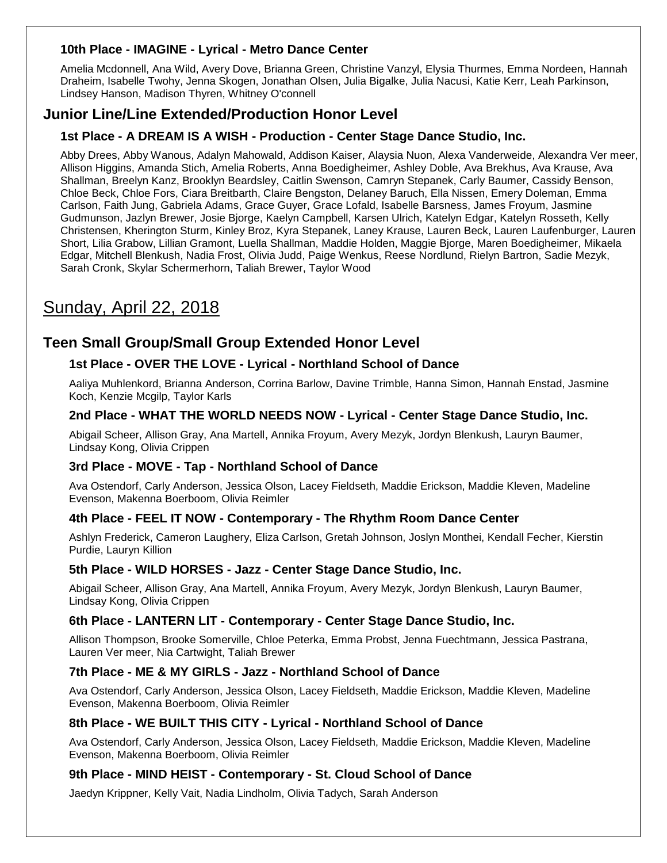# **10th Place - IMAGINE - Lyrical - Metro Dance Center**

Amelia Mcdonnell, Ana Wild, Avery Dove, Brianna Green, Christine Vanzyl, Elysia Thurmes, Emma Nordeen, Hannah Draheim, Isabelle Twohy, Jenna Skogen, Jonathan Olsen, Julia Bigalke, Julia Nacusi, Katie Kerr, Leah Parkinson, Lindsey Hanson, Madison Thyren, Whitney O'connell

# **Junior Line/Line Extended/Production Honor Level**

### **1st Place - A DREAM IS A WISH - Production - Center Stage Dance Studio, Inc.**

Abby Drees, Abby Wanous, Adalyn Mahowald, Addison Kaiser, Alaysia Nuon, Alexa Vanderweide, Alexandra Ver meer, Allison Higgins, Amanda Stich, Amelia Roberts, Anna Boedigheimer, Ashley Doble, Ava Brekhus, Ava Krause, Ava Shallman, Breelyn Kanz, Brooklyn Beardsley, Caitlin Swenson, Camryn Stepanek, Carly Baumer, Cassidy Benson, Chloe Beck, Chloe Fors, Ciara Breitbarth, Claire Bengston, Delaney Baruch, Ella Nissen, Emery Doleman, Emma Carlson, Faith Jung, Gabriela Adams, Grace Guyer, Grace Lofald, Isabelle Barsness, James Froyum, Jasmine Gudmunson, Jazlyn Brewer, Josie Bjorge, Kaelyn Campbell, Karsen Ulrich, Katelyn Edgar, Katelyn Rosseth, Kelly Christensen, Kherington Sturm, Kinley Broz, Kyra Stepanek, Laney Krause, Lauren Beck, Lauren Laufenburger, Lauren Short, Lilia Grabow, Lillian Gramont, Luella Shallman, Maddie Holden, Maggie Bjorge, Maren Boedigheimer, Mikaela Edgar, Mitchell Blenkush, Nadia Frost, Olivia Judd, Paige Wenkus, Reese Nordlund, Rielyn Bartron, Sadie Mezyk, Sarah Cronk, Skylar Schermerhorn, Taliah Brewer, Taylor Wood

# Sunday, April 22, 2018

# **Teen Small Group/Small Group Extended Honor Level**

# **1st Place - OVER THE LOVE - Lyrical - Northland School of Dance**

Aaliya Muhlenkord, Brianna Anderson, Corrina Barlow, Davine Trimble, Hanna Simon, Hannah Enstad, Jasmine Koch, Kenzie Mcgilp, Taylor Karls

#### **2nd Place - WHAT THE WORLD NEEDS NOW - Lyrical - Center Stage Dance Studio, Inc.**

Abigail Scheer, Allison Gray, Ana Martell, Annika Froyum, Avery Mezyk, Jordyn Blenkush, Lauryn Baumer, Lindsay Kong, Olivia Crippen

#### **3rd Place - MOVE - Tap - Northland School of Dance**

Ava Ostendorf, Carly Anderson, Jessica Olson, Lacey Fieldseth, Maddie Erickson, Maddie Kleven, Madeline Evenson, Makenna Boerboom, Olivia Reimler

#### **4th Place - FEEL IT NOW - Contemporary - The Rhythm Room Dance Center**

Ashlyn Frederick, Cameron Laughery, Eliza Carlson, Gretah Johnson, Joslyn Monthei, Kendall Fecher, Kierstin Purdie, Lauryn Killion

#### **5th Place - WILD HORSES - Jazz - Center Stage Dance Studio, Inc.**

Abigail Scheer, Allison Gray, Ana Martell, Annika Froyum, Avery Mezyk, Jordyn Blenkush, Lauryn Baumer, Lindsay Kong, Olivia Crippen

#### **6th Place - LANTERN LIT - Contemporary - Center Stage Dance Studio, Inc.**

Allison Thompson, Brooke Somerville, Chloe Peterka, Emma Probst, Jenna Fuechtmann, Jessica Pastrana, Lauren Ver meer, Nia Cartwight, Taliah Brewer

#### **7th Place - ME & MY GIRLS - Jazz - Northland School of Dance**

Ava Ostendorf, Carly Anderson, Jessica Olson, Lacey Fieldseth, Maddie Erickson, Maddie Kleven, Madeline Evenson, Makenna Boerboom, Olivia Reimler

#### **8th Place - WE BUILT THIS CITY - Lyrical - Northland School of Dance**

Ava Ostendorf, Carly Anderson, Jessica Olson, Lacey Fieldseth, Maddie Erickson, Maddie Kleven, Madeline Evenson, Makenna Boerboom, Olivia Reimler

#### **9th Place - MIND HEIST - Contemporary - St. Cloud School of Dance**

Jaedyn Krippner, Kelly Vait, Nadia Lindholm, Olivia Tadych, Sarah Anderson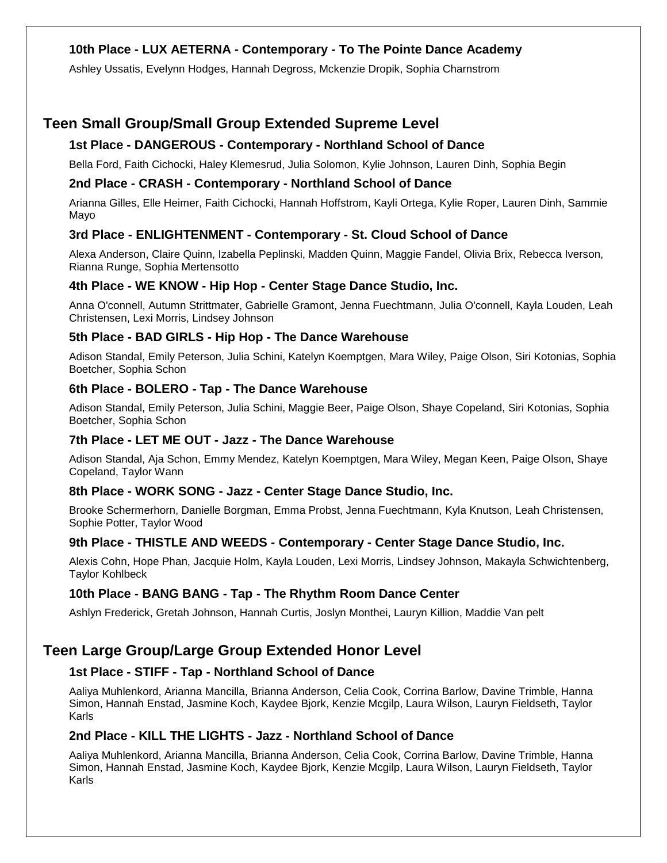# **10th Place - LUX AETERNA - Contemporary - To The Pointe Dance Academy**

Ashley Ussatis, Evelynn Hodges, Hannah Degross, Mckenzie Dropik, Sophia Charnstrom

# **Teen Small Group/Small Group Extended Supreme Level**

#### **1st Place - DANGEROUS - Contemporary - Northland School of Dance**

Bella Ford, Faith Cichocki, Haley Klemesrud, Julia Solomon, Kylie Johnson, Lauren Dinh, Sophia Begin

#### **2nd Place - CRASH - Contemporary - Northland School of Dance**

Arianna Gilles, Elle Heimer, Faith Cichocki, Hannah Hoffstrom, Kayli Ortega, Kylie Roper, Lauren Dinh, Sammie Mayo

#### **3rd Place - ENLIGHTENMENT - Contemporary - St. Cloud School of Dance**

Alexa Anderson, Claire Quinn, Izabella Peplinski, Madden Quinn, Maggie Fandel, Olivia Brix, Rebecca Iverson, Rianna Runge, Sophia Mertensotto

#### **4th Place - WE KNOW - Hip Hop - Center Stage Dance Studio, Inc.**

Anna O'connell, Autumn Strittmater, Gabrielle Gramont, Jenna Fuechtmann, Julia O'connell, Kayla Louden, Leah Christensen, Lexi Morris, Lindsey Johnson

#### **5th Place - BAD GIRLS - Hip Hop - The Dance Warehouse**

Adison Standal, Emily Peterson, Julia Schini, Katelyn Koemptgen, Mara Wiley, Paige Olson, Siri Kotonias, Sophia Boetcher, Sophia Schon

#### **6th Place - BOLERO - Tap - The Dance Warehouse**

Adison Standal, Emily Peterson, Julia Schini, Maggie Beer, Paige Olson, Shaye Copeland, Siri Kotonias, Sophia Boetcher, Sophia Schon

#### **7th Place - LET ME OUT - Jazz - The Dance Warehouse**

Adison Standal, Aja Schon, Emmy Mendez, Katelyn Koemptgen, Mara Wiley, Megan Keen, Paige Olson, Shaye Copeland, Taylor Wann

#### **8th Place - WORK SONG - Jazz - Center Stage Dance Studio, Inc.**

Brooke Schermerhorn, Danielle Borgman, Emma Probst, Jenna Fuechtmann, Kyla Knutson, Leah Christensen, Sophie Potter, Taylor Wood

#### **9th Place - THISTLE AND WEEDS - Contemporary - Center Stage Dance Studio, Inc.**

Alexis Cohn, Hope Phan, Jacquie Holm, Kayla Louden, Lexi Morris, Lindsey Johnson, Makayla Schwichtenberg, Taylor Kohlbeck

#### **10th Place - BANG BANG - Tap - The Rhythm Room Dance Center**

Ashlyn Frederick, Gretah Johnson, Hannah Curtis, Joslyn Monthei, Lauryn Killion, Maddie Van pelt

# **Teen Large Group/Large Group Extended Honor Level**

#### **1st Place - STIFF - Tap - Northland School of Dance**

Aaliya Muhlenkord, Arianna Mancilla, Brianna Anderson, Celia Cook, Corrina Barlow, Davine Trimble, Hanna Simon, Hannah Enstad, Jasmine Koch, Kaydee Bjork, Kenzie Mcgilp, Laura Wilson, Lauryn Fieldseth, Taylor Karls

#### **2nd Place - KILL THE LIGHTS - Jazz - Northland School of Dance**

Aaliya Muhlenkord, Arianna Mancilla, Brianna Anderson, Celia Cook, Corrina Barlow, Davine Trimble, Hanna Simon, Hannah Enstad, Jasmine Koch, Kaydee Bjork, Kenzie Mcgilp, Laura Wilson, Lauryn Fieldseth, Taylor Karls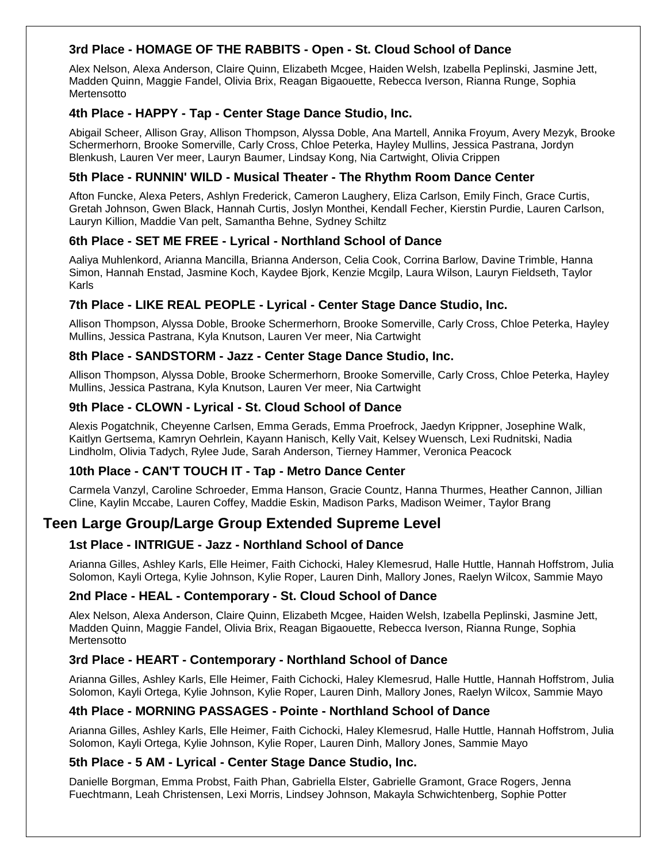# **3rd Place - HOMAGE OF THE RABBITS - Open - St. Cloud School of Dance**

Alex Nelson, Alexa Anderson, Claire Quinn, Elizabeth Mcgee, Haiden Welsh, Izabella Peplinski, Jasmine Jett, Madden Quinn, Maggie Fandel, Olivia Brix, Reagan Bigaouette, Rebecca Iverson, Rianna Runge, Sophia Mertensotto

#### **4th Place - HAPPY - Tap - Center Stage Dance Studio, Inc.**

Abigail Scheer, Allison Gray, Allison Thompson, Alyssa Doble, Ana Martell, Annika Froyum, Avery Mezyk, Brooke Schermerhorn, Brooke Somerville, Carly Cross, Chloe Peterka, Hayley Mullins, Jessica Pastrana, Jordyn Blenkush, Lauren Ver meer, Lauryn Baumer, Lindsay Kong, Nia Cartwight, Olivia Crippen

#### **5th Place - RUNNIN' WILD - Musical Theater - The Rhythm Room Dance Center**

Afton Funcke, Alexa Peters, Ashlyn Frederick, Cameron Laughery, Eliza Carlson, Emily Finch, Grace Curtis, Gretah Johnson, Gwen Black, Hannah Curtis, Joslyn Monthei, Kendall Fecher, Kierstin Purdie, Lauren Carlson, Lauryn Killion, Maddie Van pelt, Samantha Behne, Sydney Schiltz

#### **6th Place - SET ME FREE - Lyrical - Northland School of Dance**

Aaliya Muhlenkord, Arianna Mancilla, Brianna Anderson, Celia Cook, Corrina Barlow, Davine Trimble, Hanna Simon, Hannah Enstad, Jasmine Koch, Kaydee Bjork, Kenzie Mcgilp, Laura Wilson, Lauryn Fieldseth, Taylor Karls

### **7th Place - LIKE REAL PEOPLE - Lyrical - Center Stage Dance Studio, Inc.**

Allison Thompson, Alyssa Doble, Brooke Schermerhorn, Brooke Somerville, Carly Cross, Chloe Peterka, Hayley Mullins, Jessica Pastrana, Kyla Knutson, Lauren Ver meer, Nia Cartwight

#### **8th Place - SANDSTORM - Jazz - Center Stage Dance Studio, Inc.**

Allison Thompson, Alyssa Doble, Brooke Schermerhorn, Brooke Somerville, Carly Cross, Chloe Peterka, Hayley Mullins, Jessica Pastrana, Kyla Knutson, Lauren Ver meer, Nia Cartwight

#### **9th Place - CLOWN - Lyrical - St. Cloud School of Dance**

Alexis Pogatchnik, Cheyenne Carlsen, Emma Gerads, Emma Proefrock, Jaedyn Krippner, Josephine Walk, Kaitlyn Gertsema, Kamryn Oehrlein, Kayann Hanisch, Kelly Vait, Kelsey Wuensch, Lexi Rudnitski, Nadia Lindholm, Olivia Tadych, Rylee Jude, Sarah Anderson, Tierney Hammer, Veronica Peacock

#### **10th Place - CAN'T TOUCH IT - Tap - Metro Dance Center**

Carmela Vanzyl, Caroline Schroeder, Emma Hanson, Gracie Countz, Hanna Thurmes, Heather Cannon, Jillian Cline, Kaylin Mccabe, Lauren Coffey, Maddie Eskin, Madison Parks, Madison Weimer, Taylor Brang

# **Teen Large Group/Large Group Extended Supreme Level**

#### **1st Place - INTRIGUE - Jazz - Northland School of Dance**

Arianna Gilles, Ashley Karls, Elle Heimer, Faith Cichocki, Haley Klemesrud, Halle Huttle, Hannah Hoffstrom, Julia Solomon, Kayli Ortega, Kylie Johnson, Kylie Roper, Lauren Dinh, Mallory Jones, Raelyn Wilcox, Sammie Mayo

#### **2nd Place - HEAL - Contemporary - St. Cloud School of Dance**

Alex Nelson, Alexa Anderson, Claire Quinn, Elizabeth Mcgee, Haiden Welsh, Izabella Peplinski, Jasmine Jett, Madden Quinn, Maggie Fandel, Olivia Brix, Reagan Bigaouette, Rebecca Iverson, Rianna Runge, Sophia Mertensotto

#### **3rd Place - HEART - Contemporary - Northland School of Dance**

Arianna Gilles, Ashley Karls, Elle Heimer, Faith Cichocki, Haley Klemesrud, Halle Huttle, Hannah Hoffstrom, Julia Solomon, Kayli Ortega, Kylie Johnson, Kylie Roper, Lauren Dinh, Mallory Jones, Raelyn Wilcox, Sammie Mayo

#### **4th Place - MORNING PASSAGES - Pointe - Northland School of Dance**

Arianna Gilles, Ashley Karls, Elle Heimer, Faith Cichocki, Haley Klemesrud, Halle Huttle, Hannah Hoffstrom, Julia Solomon, Kayli Ortega, Kylie Johnson, Kylie Roper, Lauren Dinh, Mallory Jones, Sammie Mayo

#### **5th Place - 5 AM - Lyrical - Center Stage Dance Studio, Inc.**

Danielle Borgman, Emma Probst, Faith Phan, Gabriella Elster, Gabrielle Gramont, Grace Rogers, Jenna Fuechtmann, Leah Christensen, Lexi Morris, Lindsey Johnson, Makayla Schwichtenberg, Sophie Potter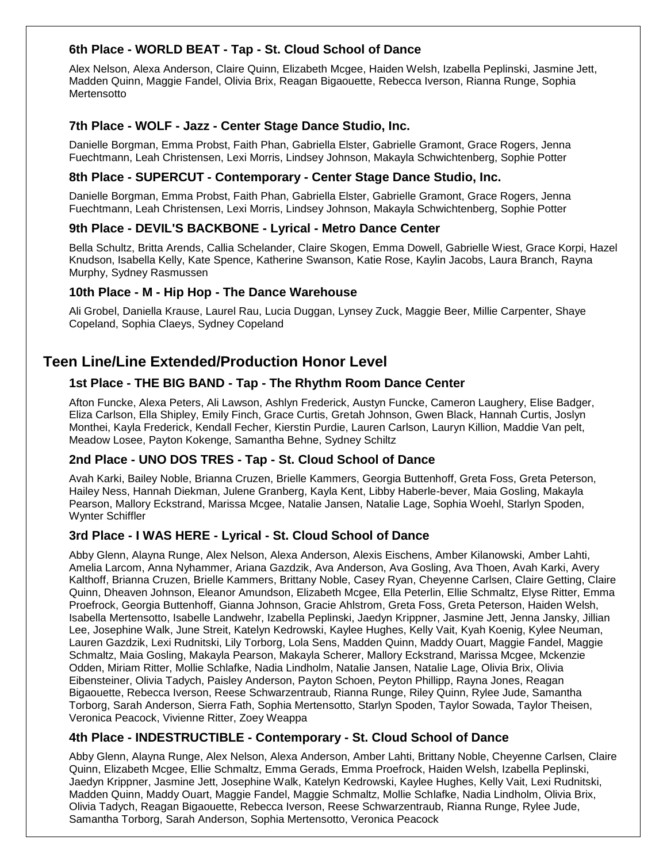# **6th Place - WORLD BEAT - Tap - St. Cloud School of Dance**

Alex Nelson, Alexa Anderson, Claire Quinn, Elizabeth Mcgee, Haiden Welsh, Izabella Peplinski, Jasmine Jett, Madden Quinn, Maggie Fandel, Olivia Brix, Reagan Bigaouette, Rebecca Iverson, Rianna Runge, Sophia Mertensotto

#### **7th Place - WOLF - Jazz - Center Stage Dance Studio, Inc.**

Danielle Borgman, Emma Probst, Faith Phan, Gabriella Elster, Gabrielle Gramont, Grace Rogers, Jenna Fuechtmann, Leah Christensen, Lexi Morris, Lindsey Johnson, Makayla Schwichtenberg, Sophie Potter

#### **8th Place - SUPERCUT - Contemporary - Center Stage Dance Studio, Inc.**

Danielle Borgman, Emma Probst, Faith Phan, Gabriella Elster, Gabrielle Gramont, Grace Rogers, Jenna Fuechtmann, Leah Christensen, Lexi Morris, Lindsey Johnson, Makayla Schwichtenberg, Sophie Potter

#### **9th Place - DEVIL'S BACKBONE - Lyrical - Metro Dance Center**

Bella Schultz, Britta Arends, Callia Schelander, Claire Skogen, Emma Dowell, Gabrielle Wiest, Grace Korpi, Hazel Knudson, Isabella Kelly, Kate Spence, Katherine Swanson, Katie Rose, Kaylin Jacobs, Laura Branch, Rayna Murphy, Sydney Rasmussen

#### **10th Place - M - Hip Hop - The Dance Warehouse**

Ali Grobel, Daniella Krause, Laurel Rau, Lucia Duggan, Lynsey Zuck, Maggie Beer, Millie Carpenter, Shaye Copeland, Sophia Claeys, Sydney Copeland

# **Teen Line/Line Extended/Production Honor Level**

#### **1st Place - THE BIG BAND - Tap - The Rhythm Room Dance Center**

Afton Funcke, Alexa Peters, Ali Lawson, Ashlyn Frederick, Austyn Funcke, Cameron Laughery, Elise Badger, Eliza Carlson, Ella Shipley, Emily Finch, Grace Curtis, Gretah Johnson, Gwen Black, Hannah Curtis, Joslyn Monthei, Kayla Frederick, Kendall Fecher, Kierstin Purdie, Lauren Carlson, Lauryn Killion, Maddie Van pelt, Meadow Losee, Payton Kokenge, Samantha Behne, Sydney Schiltz

#### **2nd Place - UNO DOS TRES - Tap - St. Cloud School of Dance**

Avah Karki, Bailey Noble, Brianna Cruzen, Brielle Kammers, Georgia Buttenhoff, Greta Foss, Greta Peterson, Hailey Ness, Hannah Diekman, Julene Granberg, Kayla Kent, Libby Haberle-bever, Maia Gosling, Makayla Pearson, Mallory Eckstrand, Marissa Mcgee, Natalie Jansen, Natalie Lage, Sophia Woehl, Starlyn Spoden, Wynter Schiffler

#### **3rd Place - I WAS HERE - Lyrical - St. Cloud School of Dance**

Abby Glenn, Alayna Runge, Alex Nelson, Alexa Anderson, Alexis Eischens, Amber Kilanowski, Amber Lahti, Amelia Larcom, Anna Nyhammer, Ariana Gazdzik, Ava Anderson, Ava Gosling, Ava Thoen, Avah Karki, Avery Kalthoff, Brianna Cruzen, Brielle Kammers, Brittany Noble, Casey Ryan, Cheyenne Carlsen, Claire Getting, Claire Quinn, Dheaven Johnson, Eleanor Amundson, Elizabeth Mcgee, Ella Peterlin, Ellie Schmaltz, Elyse Ritter, Emma Proefrock, Georgia Buttenhoff, Gianna Johnson, Gracie Ahlstrom, Greta Foss, Greta Peterson, Haiden Welsh, Isabella Mertensotto, Isabelle Landwehr, Izabella Peplinski, Jaedyn Krippner, Jasmine Jett, Jenna Jansky, Jillian Lee, Josephine Walk, June Streit, Katelyn Kedrowski, Kaylee Hughes, Kelly Vait, Kyah Koenig, Kylee Neuman, Lauren Gazdzik, Lexi Rudnitski, Lily Torborg, Lola Sens, Madden Quinn, Maddy Ouart, Maggie Fandel, Maggie Schmaltz, Maia Gosling, Makayla Pearson, Makayla Scherer, Mallory Eckstrand, Marissa Mcgee, Mckenzie Odden, Miriam Ritter, Mollie Schlafke, Nadia Lindholm, Natalie Jansen, Natalie Lage, Olivia Brix, Olivia Eibensteiner, Olivia Tadych, Paisley Anderson, Payton Schoen, Peyton Phillipp, Rayna Jones, Reagan Bigaouette, Rebecca Iverson, Reese Schwarzentraub, Rianna Runge, Riley Quinn, Rylee Jude, Samantha Torborg, Sarah Anderson, Sierra Fath, Sophia Mertensotto, Starlyn Spoden, Taylor Sowada, Taylor Theisen, Veronica Peacock, Vivienne Ritter, Zoey Weappa

#### **4th Place - INDESTRUCTIBLE - Contemporary - St. Cloud School of Dance**

Abby Glenn, Alayna Runge, Alex Nelson, Alexa Anderson, Amber Lahti, Brittany Noble, Cheyenne Carlsen, Claire Quinn, Elizabeth Mcgee, Ellie Schmaltz, Emma Gerads, Emma Proefrock, Haiden Welsh, Izabella Peplinski, Jaedyn Krippner, Jasmine Jett, Josephine Walk, Katelyn Kedrowski, Kaylee Hughes, Kelly Vait, Lexi Rudnitski, Madden Quinn, Maddy Ouart, Maggie Fandel, Maggie Schmaltz, Mollie Schlafke, Nadia Lindholm, Olivia Brix, Olivia Tadych, Reagan Bigaouette, Rebecca Iverson, Reese Schwarzentraub, Rianna Runge, Rylee Jude, Samantha Torborg, Sarah Anderson, Sophia Mertensotto, Veronica Peacock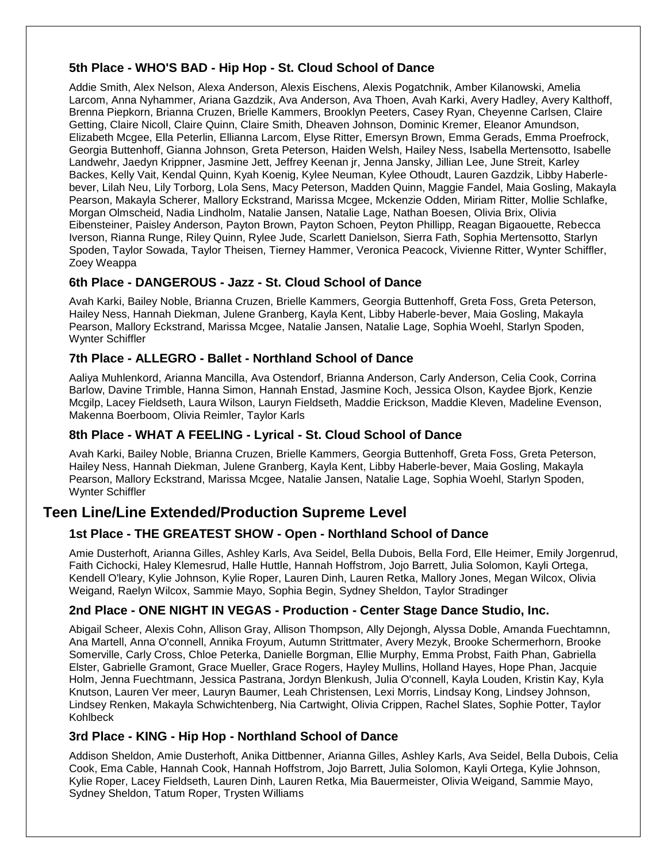# **5th Place - WHO'S BAD - Hip Hop - St. Cloud School of Dance**

Addie Smith, Alex Nelson, Alexa Anderson, Alexis Eischens, Alexis Pogatchnik, Amber Kilanowski, Amelia Larcom, Anna Nyhammer, Ariana Gazdzik, Ava Anderson, Ava Thoen, Avah Karki, Avery Hadley, Avery Kalthoff, Brenna Piepkorn, Brianna Cruzen, Brielle Kammers, Brooklyn Peeters, Casey Ryan, Cheyenne Carlsen, Claire Getting, Claire Nicoll, Claire Quinn, Claire Smith, Dheaven Johnson, Dominic Kremer, Eleanor Amundson, Elizabeth Mcgee, Ella Peterlin, Ellianna Larcom, Elyse Ritter, Emersyn Brown, Emma Gerads, Emma Proefrock, Georgia Buttenhoff, Gianna Johnson, Greta Peterson, Haiden Welsh, Hailey Ness, Isabella Mertensotto, Isabelle Landwehr, Jaedyn Krippner, Jasmine Jett, Jeffrey Keenan jr, Jenna Jansky, Jillian Lee, June Streit, Karley Backes, Kelly Vait, Kendal Quinn, Kyah Koenig, Kylee Neuman, Kylee Othoudt, Lauren Gazdzik, Libby Haberlebever, Lilah Neu, Lily Torborg, Lola Sens, Macy Peterson, Madden Quinn, Maggie Fandel, Maia Gosling, Makayla Pearson, Makayla Scherer, Mallory Eckstrand, Marissa Mcgee, Mckenzie Odden, Miriam Ritter, Mollie Schlafke, Morgan Olmscheid, Nadia Lindholm, Natalie Jansen, Natalie Lage, Nathan Boesen, Olivia Brix, Olivia Eibensteiner, Paisley Anderson, Payton Brown, Payton Schoen, Peyton Phillipp, Reagan Bigaouette, Rebecca Iverson, Rianna Runge, Riley Quinn, Rylee Jude, Scarlett Danielson, Sierra Fath, Sophia Mertensotto, Starlyn Spoden, Taylor Sowada, Taylor Theisen, Tierney Hammer, Veronica Peacock, Vivienne Ritter, Wynter Schiffler, Zoey Weappa

# **6th Place - DANGEROUS - Jazz - St. Cloud School of Dance**

Avah Karki, Bailey Noble, Brianna Cruzen, Brielle Kammers, Georgia Buttenhoff, Greta Foss, Greta Peterson, Hailey Ness, Hannah Diekman, Julene Granberg, Kayla Kent, Libby Haberle-bever, Maia Gosling, Makayla Pearson, Mallory Eckstrand, Marissa Mcgee, Natalie Jansen, Natalie Lage, Sophia Woehl, Starlyn Spoden, Wynter Schiffler

# **7th Place - ALLEGRO - Ballet - Northland School of Dance**

Aaliya Muhlenkord, Arianna Mancilla, Ava Ostendorf, Brianna Anderson, Carly Anderson, Celia Cook, Corrina Barlow, Davine Trimble, Hanna Simon, Hannah Enstad, Jasmine Koch, Jessica Olson, Kaydee Bjork, Kenzie Mcgilp, Lacey Fieldseth, Laura Wilson, Lauryn Fieldseth, Maddie Erickson, Maddie Kleven, Madeline Evenson, Makenna Boerboom, Olivia Reimler, Taylor Karls

#### **8th Place - WHAT A FEELING - Lyrical - St. Cloud School of Dance**

Avah Karki, Bailey Noble, Brianna Cruzen, Brielle Kammers, Georgia Buttenhoff, Greta Foss, Greta Peterson, Hailey Ness, Hannah Diekman, Julene Granberg, Kayla Kent, Libby Haberle-bever, Maia Gosling, Makayla Pearson, Mallory Eckstrand, Marissa Mcgee, Natalie Jansen, Natalie Lage, Sophia Woehl, Starlyn Spoden, Wynter Schiffler

# **Teen Line/Line Extended/Production Supreme Level**

#### **1st Place - THE GREATEST SHOW - Open - Northland School of Dance**

Amie Dusterhoft, Arianna Gilles, Ashley Karls, Ava Seidel, Bella Dubois, Bella Ford, Elle Heimer, Emily Jorgenrud, Faith Cichocki, Haley Klemesrud, Halle Huttle, Hannah Hoffstrom, Jojo Barrett, Julia Solomon, Kayli Ortega, Kendell O'leary, Kylie Johnson, Kylie Roper, Lauren Dinh, Lauren Retka, Mallory Jones, Megan Wilcox, Olivia Weigand, Raelyn Wilcox, Sammie Mayo, Sophia Begin, Sydney Sheldon, Taylor Stradinger

#### **2nd Place - ONE NIGHT IN VEGAS - Production - Center Stage Dance Studio, Inc.**

Abigail Scheer, Alexis Cohn, Allison Gray, Allison Thompson, Ally Dejongh, Alyssa Doble, Amanda Fuechtamnn, Ana Martell, Anna O'connell, Annika Froyum, Autumn Strittmater, Avery Mezyk, Brooke Schermerhorn, Brooke Somerville, Carly Cross, Chloe Peterka, Danielle Borgman, Ellie Murphy, Emma Probst, Faith Phan, Gabriella Elster, Gabrielle Gramont, Grace Mueller, Grace Rogers, Hayley Mullins, Holland Hayes, Hope Phan, Jacquie Holm, Jenna Fuechtmann, Jessica Pastrana, Jordyn Blenkush, Julia O'connell, Kayla Louden, Kristin Kay, Kyla Knutson, Lauren Ver meer, Lauryn Baumer, Leah Christensen, Lexi Morris, Lindsay Kong, Lindsey Johnson, Lindsey Renken, Makayla Schwichtenberg, Nia Cartwight, Olivia Crippen, Rachel Slates, Sophie Potter, Taylor Kohlbeck

#### **3rd Place - KING - Hip Hop - Northland School of Dance**

Addison Sheldon, Amie Dusterhoft, Anika Dittbenner, Arianna Gilles, Ashley Karls, Ava Seidel, Bella Dubois, Celia Cook, Ema Cable, Hannah Cook, Hannah Hoffstrom, Jojo Barrett, Julia Solomon, Kayli Ortega, Kylie Johnson, Kylie Roper, Lacey Fieldseth, Lauren Dinh, Lauren Retka, Mia Bauermeister, Olivia Weigand, Sammie Mayo, Sydney Sheldon, Tatum Roper, Trysten Williams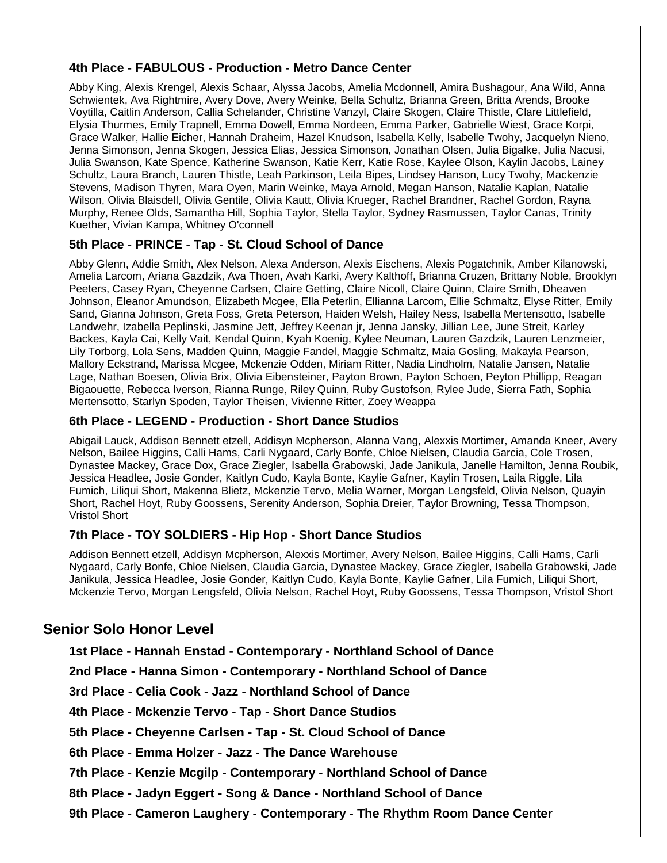#### **4th Place - FABULOUS - Production - Metro Dance Center**

Abby King, Alexis Krengel, Alexis Schaar, Alyssa Jacobs, Amelia Mcdonnell, Amira Bushagour, Ana Wild, Anna Schwientek, Ava Rightmire, Avery Dove, Avery Weinke, Bella Schultz, Brianna Green, Britta Arends, Brooke Voytilla, Caitlin Anderson, Callia Schelander, Christine Vanzyl, Claire Skogen, Claire Thistle, Clare Littlefield, Elysia Thurmes, Emily Trapnell, Emma Dowell, Emma Nordeen, Emma Parker, Gabrielle Wiest, Grace Korpi, Grace Walker, Hallie Eicher, Hannah Draheim, Hazel Knudson, Isabella Kelly, Isabelle Twohy, Jacquelyn Nieno, Jenna Simonson, Jenna Skogen, Jessica Elias, Jessica Simonson, Jonathan Olsen, Julia Bigalke, Julia Nacusi, Julia Swanson, Kate Spence, Katherine Swanson, Katie Kerr, Katie Rose, Kaylee Olson, Kaylin Jacobs, Lainey Schultz, Laura Branch, Lauren Thistle, Leah Parkinson, Leila Bipes, Lindsey Hanson, Lucy Twohy, Mackenzie Stevens, Madison Thyren, Mara Oyen, Marin Weinke, Maya Arnold, Megan Hanson, Natalie Kaplan, Natalie Wilson, Olivia Blaisdell, Olivia Gentile, Olivia Kautt, Olivia Krueger, Rachel Brandner, Rachel Gordon, Rayna Murphy, Renee Olds, Samantha Hill, Sophia Taylor, Stella Taylor, Sydney Rasmussen, Taylor Canas, Trinity Kuether, Vivian Kampa, Whitney O'connell

#### **5th Place - PRINCE - Tap - St. Cloud School of Dance**

Abby Glenn, Addie Smith, Alex Nelson, Alexa Anderson, Alexis Eischens, Alexis Pogatchnik, Amber Kilanowski, Amelia Larcom, Ariana Gazdzik, Ava Thoen, Avah Karki, Avery Kalthoff, Brianna Cruzen, Brittany Noble, Brooklyn Peeters, Casey Ryan, Cheyenne Carlsen, Claire Getting, Claire Nicoll, Claire Quinn, Claire Smith, Dheaven Johnson, Eleanor Amundson, Elizabeth Mcgee, Ella Peterlin, Ellianna Larcom, Ellie Schmaltz, Elyse Ritter, Emily Sand, Gianna Johnson, Greta Foss, Greta Peterson, Haiden Welsh, Hailey Ness, Isabella Mertensotto, Isabelle Landwehr, Izabella Peplinski, Jasmine Jett, Jeffrey Keenan jr, Jenna Jansky, Jillian Lee, June Streit, Karley Backes, Kayla Cai, Kelly Vait, Kendal Quinn, Kyah Koenig, Kylee Neuman, Lauren Gazdzik, Lauren Lenzmeier, Lily Torborg, Lola Sens, Madden Quinn, Maggie Fandel, Maggie Schmaltz, Maia Gosling, Makayla Pearson, Mallory Eckstrand, Marissa Mcgee, Mckenzie Odden, Miriam Ritter, Nadia Lindholm, Natalie Jansen, Natalie Lage, Nathan Boesen, Olivia Brix, Olivia Eibensteiner, Payton Brown, Payton Schoen, Peyton Phillipp, Reagan Bigaouette, Rebecca Iverson, Rianna Runge, Riley Quinn, Ruby Gustofson, Rylee Jude, Sierra Fath, Sophia Mertensotto, Starlyn Spoden, Taylor Theisen, Vivienne Ritter, Zoey Weappa

#### **6th Place - LEGEND - Production - Short Dance Studios**

Abigail Lauck, Addison Bennett etzell, Addisyn Mcpherson, Alanna Vang, Alexxis Mortimer, Amanda Kneer, Avery Nelson, Bailee Higgins, Calli Hams, Carli Nygaard, Carly Bonfe, Chloe Nielsen, Claudia Garcia, Cole Trosen, Dynastee Mackey, Grace Dox, Grace Ziegler, Isabella Grabowski, Jade Janikula, Janelle Hamilton, Jenna Roubik, Jessica Headlee, Josie Gonder, Kaitlyn Cudo, Kayla Bonte, Kaylie Gafner, Kaylin Trosen, Laila Riggle, Lila Fumich, Liliqui Short, Makenna Blietz, Mckenzie Tervo, Melia Warner, Morgan Lengsfeld, Olivia Nelson, Quayin Short, Rachel Hoyt, Ruby Goossens, Serenity Anderson, Sophia Dreier, Taylor Browning, Tessa Thompson, Vristol Short

#### **7th Place - TOY SOLDIERS - Hip Hop - Short Dance Studios**

Addison Bennett etzell, Addisyn Mcpherson, Alexxis Mortimer, Avery Nelson, Bailee Higgins, Calli Hams, Carli Nygaard, Carly Bonfe, Chloe Nielsen, Claudia Garcia, Dynastee Mackey, Grace Ziegler, Isabella Grabowski, Jade Janikula, Jessica Headlee, Josie Gonder, Kaitlyn Cudo, Kayla Bonte, Kaylie Gafner, Lila Fumich, Liliqui Short, Mckenzie Tervo, Morgan Lengsfeld, Olivia Nelson, Rachel Hoyt, Ruby Goossens, Tessa Thompson, Vristol Short

# **Senior Solo Honor Level**

**1st Place - Hannah Enstad - Contemporary - Northland School of Dance**

**2nd Place - Hanna Simon - Contemporary - Northland School of Dance**

**3rd Place - Celia Cook - Jazz - Northland School of Dance**

**4th Place - Mckenzie Tervo - Tap - Short Dance Studios**

**5th Place - Cheyenne Carlsen - Tap - St. Cloud School of Dance** 

**6th Place - Emma Holzer - Jazz - The Dance Warehouse**

**7th Place - Kenzie Mcgilp - Contemporary - Northland School of Dance**

**8th Place - Jadyn Eggert - Song & Dance - Northland School of Dance**

**9th Place - Cameron Laughery - Contemporary - The Rhythm Room Dance Center**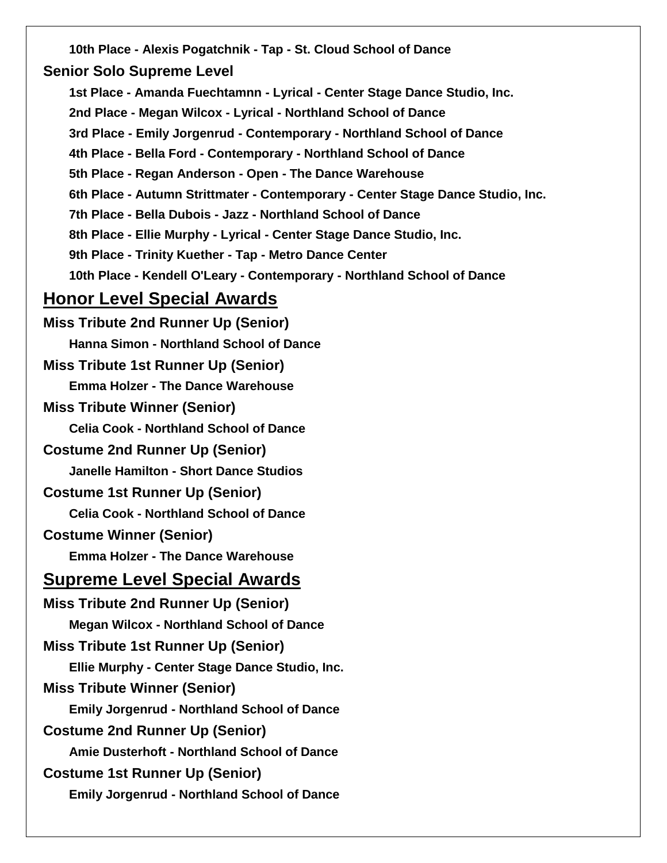**10th Place - Alexis Pogatchnik - Tap - St. Cloud School of Dance Senior Solo Supreme Level 1st Place - Amanda Fuechtamnn - Lyrical - Center Stage Dance Studio, Inc. 2nd Place - Megan Wilcox - Lyrical - Northland School of Dance 3rd Place - Emily Jorgenrud - Contemporary - Northland School of Dance 4th Place - Bella Ford - Contemporary - Northland School of Dance 5th Place - Regan Anderson - Open - The Dance Warehouse 6th Place - Autumn Strittmater - Contemporary - Center Stage Dance Studio, Inc. 7th Place - Bella Dubois - Jazz - Northland School of Dance 8th Place - Ellie Murphy - Lyrical - Center Stage Dance Studio, Inc. 9th Place - Trinity Kuether - Tap - Metro Dance Center 10th Place - Kendell O'Leary - Contemporary - Northland School of Dance Honor Level Special Awards Miss Tribute 2nd Runner Up (Senior) Hanna Simon - Northland School of Dance Miss Tribute 1st Runner Up (Senior) Emma Holzer - The Dance Warehouse Miss Tribute Winner (Senior) Celia Cook - Northland School of Dance Costume 2nd Runner Up (Senior) Janelle Hamilton - Short Dance Studios Costume 1st Runner Up (Senior) Celia Cook - Northland School of Dance Costume Winner (Senior) Emma Holzer - The Dance Warehouse Supreme Level Special Awards Miss Tribute 2nd Runner Up (Senior) Megan Wilcox - Northland School of Dance Miss Tribute 1st Runner Up (Senior) Ellie Murphy - Center Stage Dance Studio, Inc. Miss Tribute Winner (Senior) Emily Jorgenrud - Northland School of Dance Costume 2nd Runner Up (Senior) Amie Dusterhoft - Northland School of Dance Costume 1st Runner Up (Senior) Emily Jorgenrud - Northland School of Dance**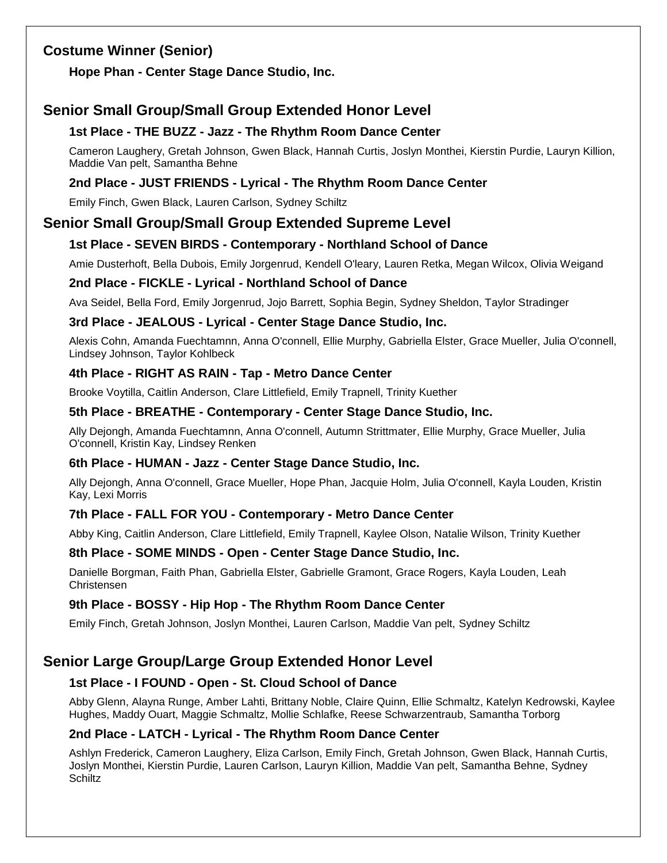# **Costume Winner (Senior)**

**Hope Phan - Center Stage Dance Studio, Inc.**

# **Senior Small Group/Small Group Extended Honor Level**

# **1st Place - THE BUZZ - Jazz - The Rhythm Room Dance Center**

Cameron Laughery, Gretah Johnson, Gwen Black, Hannah Curtis, Joslyn Monthei, Kierstin Purdie, Lauryn Killion, Maddie Van pelt, Samantha Behne

# **2nd Place - JUST FRIENDS - Lyrical - The Rhythm Room Dance Center**

Emily Finch, Gwen Black, Lauren Carlson, Sydney Schiltz

# **Senior Small Group/Small Group Extended Supreme Level**

# **1st Place - SEVEN BIRDS - Contemporary - Northland School of Dance**

Amie Dusterhoft, Bella Dubois, Emily Jorgenrud, Kendell O'leary, Lauren Retka, Megan Wilcox, Olivia Weigand

#### **2nd Place - FICKLE - Lyrical - Northland School of Dance**

Ava Seidel, Bella Ford, Emily Jorgenrud, Jojo Barrett, Sophia Begin, Sydney Sheldon, Taylor Stradinger

#### **3rd Place - JEALOUS - Lyrical - Center Stage Dance Studio, Inc.**

Alexis Cohn, Amanda Fuechtamnn, Anna O'connell, Ellie Murphy, Gabriella Elster, Grace Mueller, Julia O'connell, Lindsey Johnson, Taylor Kohlbeck

# **4th Place - RIGHT AS RAIN - Tap - Metro Dance Center**

Brooke Voytilla, Caitlin Anderson, Clare Littlefield, Emily Trapnell, Trinity Kuether

#### **5th Place - BREATHE - Contemporary - Center Stage Dance Studio, Inc.**

Ally Dejongh, Amanda Fuechtamnn, Anna O'connell, Autumn Strittmater, Ellie Murphy, Grace Mueller, Julia O'connell, Kristin Kay, Lindsey Renken

#### **6th Place - HUMAN - Jazz - Center Stage Dance Studio, Inc.**

Ally Dejongh, Anna O'connell, Grace Mueller, Hope Phan, Jacquie Holm, Julia O'connell, Kayla Louden, Kristin Kay, Lexi Morris

# **7th Place - FALL FOR YOU - Contemporary - Metro Dance Center**

Abby King, Caitlin Anderson, Clare Littlefield, Emily Trapnell, Kaylee Olson, Natalie Wilson, Trinity Kuether

#### **8th Place - SOME MINDS - Open - Center Stage Dance Studio, Inc.**

Danielle Borgman, Faith Phan, Gabriella Elster, Gabrielle Gramont, Grace Rogers, Kayla Louden, Leah Christensen

#### **9th Place - BOSSY - Hip Hop - The Rhythm Room Dance Center**

Emily Finch, Gretah Johnson, Joslyn Monthei, Lauren Carlson, Maddie Van pelt, Sydney Schiltz

# **Senior Large Group/Large Group Extended Honor Level**

# **1st Place - I FOUND - Open - St. Cloud School of Dance**

Abby Glenn, Alayna Runge, Amber Lahti, Brittany Noble, Claire Quinn, Ellie Schmaltz, Katelyn Kedrowski, Kaylee Hughes, Maddy Ouart, Maggie Schmaltz, Mollie Schlafke, Reese Schwarzentraub, Samantha Torborg

#### **2nd Place - LATCH - Lyrical - The Rhythm Room Dance Center**

Ashlyn Frederick, Cameron Laughery, Eliza Carlson, Emily Finch, Gretah Johnson, Gwen Black, Hannah Curtis, Joslyn Monthei, Kierstin Purdie, Lauren Carlson, Lauryn Killion, Maddie Van pelt, Samantha Behne, Sydney **Schiltz**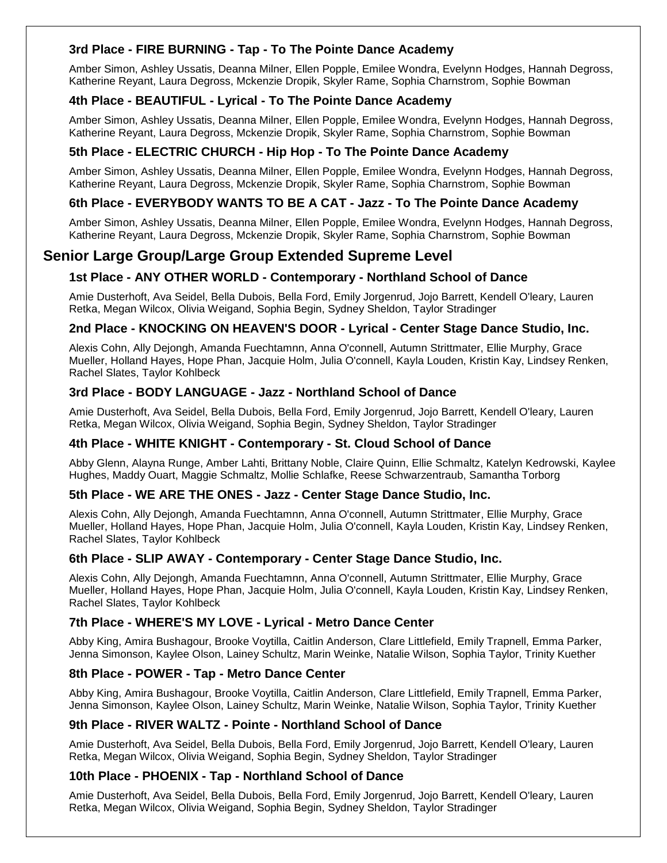# **3rd Place - FIRE BURNING - Tap - To The Pointe Dance Academy**

Amber Simon, Ashley Ussatis, Deanna Milner, Ellen Popple, Emilee Wondra, Evelynn Hodges, Hannah Degross, Katherine Reyant, Laura Degross, Mckenzie Dropik, Skyler Rame, Sophia Charnstrom, Sophie Bowman

#### **4th Place - BEAUTIFUL - Lyrical - To The Pointe Dance Academy**

Amber Simon, Ashley Ussatis, Deanna Milner, Ellen Popple, Emilee Wondra, Evelynn Hodges, Hannah Degross, Katherine Reyant, Laura Degross, Mckenzie Dropik, Skyler Rame, Sophia Charnstrom, Sophie Bowman

### **5th Place - ELECTRIC CHURCH - Hip Hop - To The Pointe Dance Academy**

Amber Simon, Ashley Ussatis, Deanna Milner, Ellen Popple, Emilee Wondra, Evelynn Hodges, Hannah Degross, Katherine Reyant, Laura Degross, Mckenzie Dropik, Skyler Rame, Sophia Charnstrom, Sophie Bowman

# **6th Place - EVERYBODY WANTS TO BE A CAT - Jazz - To The Pointe Dance Academy**

Amber Simon, Ashley Ussatis, Deanna Milner, Ellen Popple, Emilee Wondra, Evelynn Hodges, Hannah Degross, Katherine Reyant, Laura Degross, Mckenzie Dropik, Skyler Rame, Sophia Charnstrom, Sophie Bowman

# **Senior Large Group/Large Group Extended Supreme Level**

# **1st Place - ANY OTHER WORLD - Contemporary - Northland School of Dance**

Amie Dusterhoft, Ava Seidel, Bella Dubois, Bella Ford, Emily Jorgenrud, Jojo Barrett, Kendell O'leary, Lauren Retka, Megan Wilcox, Olivia Weigand, Sophia Begin, Sydney Sheldon, Taylor Stradinger

# **2nd Place - KNOCKING ON HEAVEN'S DOOR - Lyrical - Center Stage Dance Studio, Inc.**

Alexis Cohn, Ally Dejongh, Amanda Fuechtamnn, Anna O'connell, Autumn Strittmater, Ellie Murphy, Grace Mueller, Holland Hayes, Hope Phan, Jacquie Holm, Julia O'connell, Kayla Louden, Kristin Kay, Lindsey Renken, Rachel Slates, Taylor Kohlbeck

# **3rd Place - BODY LANGUAGE - Jazz - Northland School of Dance**

Amie Dusterhoft, Ava Seidel, Bella Dubois, Bella Ford, Emily Jorgenrud, Jojo Barrett, Kendell O'leary, Lauren Retka, Megan Wilcox, Olivia Weigand, Sophia Begin, Sydney Sheldon, Taylor Stradinger

#### **4th Place - WHITE KNIGHT - Contemporary - St. Cloud School of Dance**

Abby Glenn, Alayna Runge, Amber Lahti, Brittany Noble, Claire Quinn, Ellie Schmaltz, Katelyn Kedrowski, Kaylee Hughes, Maddy Ouart, Maggie Schmaltz, Mollie Schlafke, Reese Schwarzentraub, Samantha Torborg

#### **5th Place - WE ARE THE ONES - Jazz - Center Stage Dance Studio, Inc.**

Alexis Cohn, Ally Dejongh, Amanda Fuechtamnn, Anna O'connell, Autumn Strittmater, Ellie Murphy, Grace Mueller, Holland Hayes, Hope Phan, Jacquie Holm, Julia O'connell, Kayla Louden, Kristin Kay, Lindsey Renken, Rachel Slates, Taylor Kohlbeck

#### **6th Place - SLIP AWAY - Contemporary - Center Stage Dance Studio, Inc.**

Alexis Cohn, Ally Dejongh, Amanda Fuechtamnn, Anna O'connell, Autumn Strittmater, Ellie Murphy, Grace Mueller, Holland Hayes, Hope Phan, Jacquie Holm, Julia O'connell, Kayla Louden, Kristin Kay, Lindsey Renken, Rachel Slates, Taylor Kohlbeck

#### **7th Place - WHERE'S MY LOVE - Lyrical - Metro Dance Center**

Abby King, Amira Bushagour, Brooke Voytilla, Caitlin Anderson, Clare Littlefield, Emily Trapnell, Emma Parker, Jenna Simonson, Kaylee Olson, Lainey Schultz, Marin Weinke, Natalie Wilson, Sophia Taylor, Trinity Kuether

#### **8th Place - POWER - Tap - Metro Dance Center**

Abby King, Amira Bushagour, Brooke Voytilla, Caitlin Anderson, Clare Littlefield, Emily Trapnell, Emma Parker, Jenna Simonson, Kaylee Olson, Lainey Schultz, Marin Weinke, Natalie Wilson, Sophia Taylor, Trinity Kuether

#### **9th Place - RIVER WALTZ - Pointe - Northland School of Dance**

Amie Dusterhoft, Ava Seidel, Bella Dubois, Bella Ford, Emily Jorgenrud, Jojo Barrett, Kendell O'leary, Lauren Retka, Megan Wilcox, Olivia Weigand, Sophia Begin, Sydney Sheldon, Taylor Stradinger

#### **10th Place - PHOENIX - Tap - Northland School of Dance**

Amie Dusterhoft, Ava Seidel, Bella Dubois, Bella Ford, Emily Jorgenrud, Jojo Barrett, Kendell O'leary, Lauren Retka, Megan Wilcox, Olivia Weigand, Sophia Begin, Sydney Sheldon, Taylor Stradinger